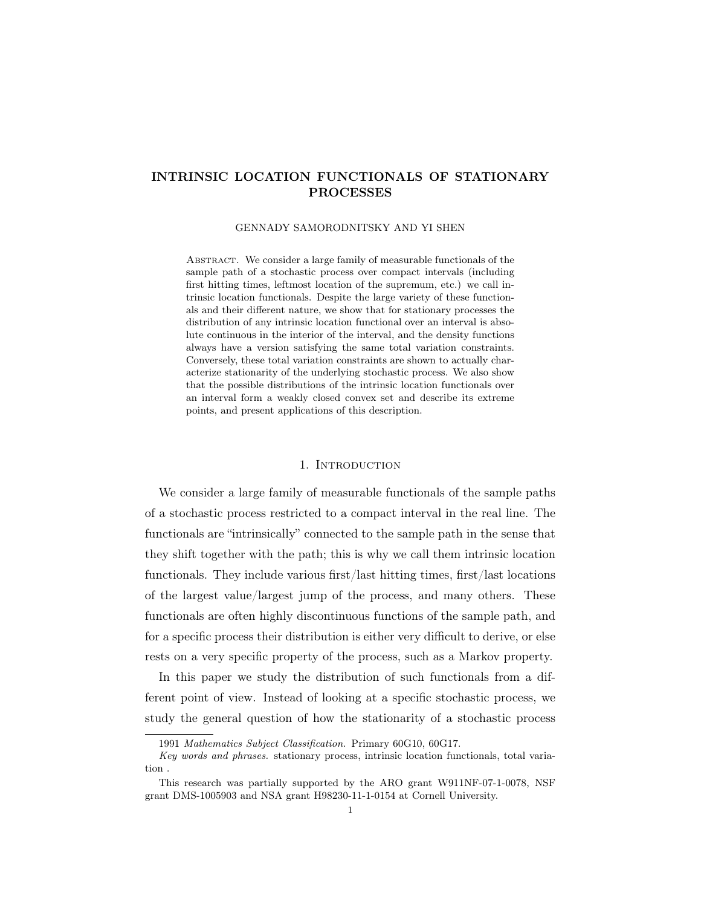## INTRINSIC LOCATION FUNCTIONALS OF STATIONARY PROCESSES

#### GENNADY SAMORODNITSKY AND YI SHEN

ABSTRACT. We consider a large family of measurable functionals of the sample path of a stochastic process over compact intervals (including first hitting times, leftmost location of the supremum, etc.) we call intrinsic location functionals. Despite the large variety of these functionals and their different nature, we show that for stationary processes the distribution of any intrinsic location functional over an interval is absolute continuous in the interior of the interval, and the density functions always have a version satisfying the same total variation constraints. Conversely, these total variation constraints are shown to actually characterize stationarity of the underlying stochastic process. We also show that the possible distributions of the intrinsic location functionals over an interval form a weakly closed convex set and describe its extreme points, and present applications of this description.

#### 1. INTRODUCTION

We consider a large family of measurable functionals of the sample paths of a stochastic process restricted to a compact interval in the real line. The functionals are "intrinsically" connected to the sample path in the sense that they shift together with the path; this is why we call them intrinsic location functionals. They include various first/last hitting times, first/last locations of the largest value/largest jump of the process, and many others. These functionals are often highly discontinuous functions of the sample path, and for a specific process their distribution is either very difficult to derive, or else rests on a very specific property of the process, such as a Markov property.

In this paper we study the distribution of such functionals from a different point of view. Instead of looking at a specific stochastic process, we study the general question of how the stationarity of a stochastic process

<sup>1991</sup> Mathematics Subject Classification. Primary 60G10, 60G17.

Key words and phrases. stationary process, intrinsic location functionals, total variation .

This research was partially supported by the ARO grant W911NF-07-1-0078, NSF grant DMS-1005903 and NSA grant H98230-11-1-0154 at Cornell University.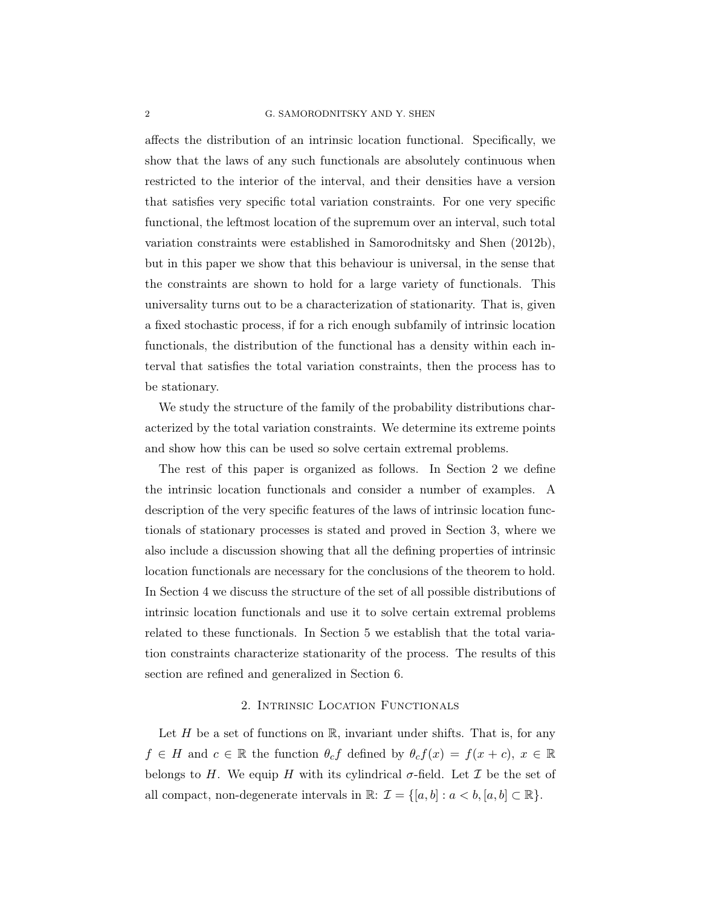#### 2 G. SAMORODNITSKY AND Y. SHEN

affects the distribution of an intrinsic location functional. Specifically, we show that the laws of any such functionals are absolutely continuous when restricted to the interior of the interval, and their densities have a version that satisfies very specific total variation constraints. For one very specific functional, the leftmost location of the supremum over an interval, such total variation constraints were established in Samorodnitsky and Shen (2012b), but in this paper we show that this behaviour is universal, in the sense that the constraints are shown to hold for a large variety of functionals. This universality turns out to be a characterization of stationarity. That is, given a fixed stochastic process, if for a rich enough subfamily of intrinsic location functionals, the distribution of the functional has a density within each interval that satisfies the total variation constraints, then the process has to be stationary.

We study the structure of the family of the probability distributions characterized by the total variation constraints. We determine its extreme points and show how this can be used so solve certain extremal problems.

The rest of this paper is organized as follows. In Section 2 we define the intrinsic location functionals and consider a number of examples. A description of the very specific features of the laws of intrinsic location functionals of stationary processes is stated and proved in Section 3, where we also include a discussion showing that all the defining properties of intrinsic location functionals are necessary for the conclusions of the theorem to hold. In Section 4 we discuss the structure of the set of all possible distributions of intrinsic location functionals and use it to solve certain extremal problems related to these functionals. In Section 5 we establish that the total variation constraints characterize stationarity of the process. The results of this section are refined and generalized in Section 6.

### 2. Intrinsic Location Functionals

Let H be a set of functions on R, invariant under shifts. That is, for any  $f \in H$  and  $c \in \mathbb{R}$  the function  $\theta_c f$  defined by  $\theta_c f(x) = f(x+c), x \in \mathbb{R}$ belongs to H. We equip H with its cylindrical  $\sigma$ -field. Let  $\mathcal I$  be the set of all compact, non-degenerate intervals in  $\mathbb{R}: \mathcal{I} = \{[a, b] : a < b, [a, b] \subset \mathbb{R}\}.$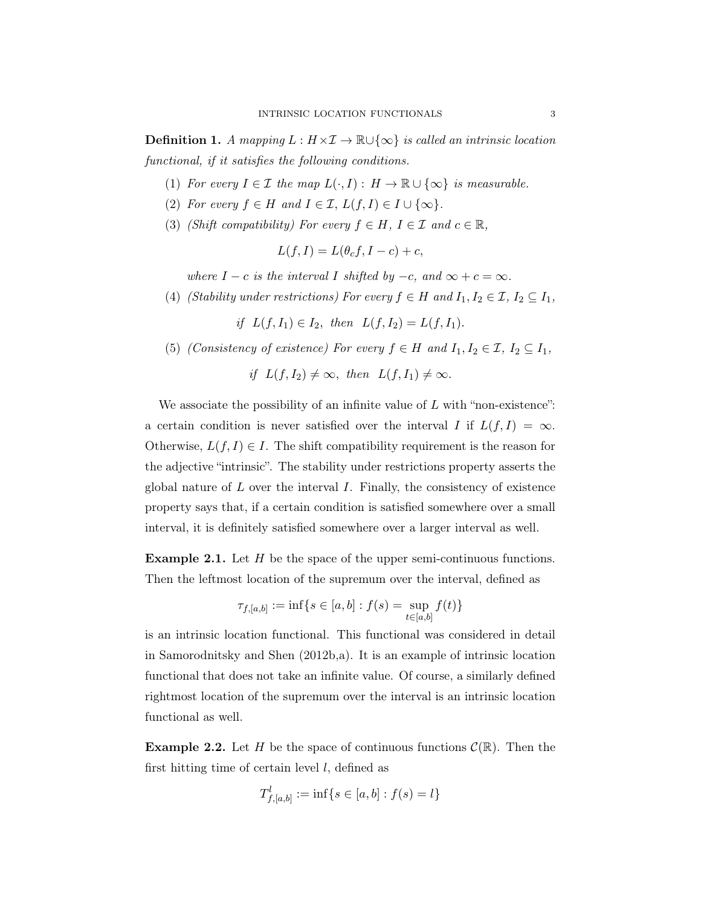**Definition 1.** A mapping  $L : H \times I \to \mathbb{R} \cup \{\infty\}$  is called an intrinsic location functional, if it satisfies the following conditions.

- (1) For every  $I \in \mathcal{I}$  the map  $L(\cdot, I) : H \to \mathbb{R} \cup {\infty}$  is measurable.
- (2) For every  $f \in H$  and  $I \in \mathcal{I}$ ,  $L(f, I) \in I \cup \{\infty\}$ .
- (3) (Shift compatibility) For every  $f \in H$ ,  $I \in \mathcal{I}$  and  $c \in \mathbb{R}$ ,

$$
L(f, I) = L(\theta_c f, I - c) + c,
$$

where  $I - c$  is the interval I shifted by  $-c$ , and  $\infty + c = \infty$ .

(4) (Stability under restrictions) For every  $f \in H$  and  $I_1, I_2 \in \mathcal{I}, I_2 \subseteq I_1$ ,

if  $L(f, I_1) \in I_2$ , then  $L(f, I_2) = L(f, I_1)$ .

(5) (Consistency of existence) For every  $f \in H$  and  $I_1, I_2 \in \mathcal{I}, I_2 \subseteq I_1$ ,

if 
$$
L(f, I_2) \neq \infty
$$
, then  $L(f, I_1) \neq \infty$ .

We associate the possibility of an infinite value of  $L$  with "non-existence": a certain condition is never satisfied over the interval I if  $L(f, I) = \infty$ . Otherwise,  $L(f, I) \in I$ . The shift compatibility requirement is the reason for the adjective "intrinsic". The stability under restrictions property asserts the global nature of  $L$  over the interval  $I$ . Finally, the consistency of existence property says that, if a certain condition is satisfied somewhere over a small interval, it is definitely satisfied somewhere over a larger interval as well.

**Example 2.1.** Let  $H$  be the space of the upper semi-continuous functions. Then the leftmost location of the supremum over the interval, defined as

$$
\tau_{f,[a,b]} := \inf\{s \in [a,b] : f(s) = \sup_{t \in [a,b]} f(t)\}
$$

is an intrinsic location functional. This functional was considered in detail in Samorodnitsky and Shen (2012b,a). It is an example of intrinsic location functional that does not take an infinite value. Of course, a similarly defined rightmost location of the supremum over the interval is an intrinsic location functional as well.

**Example 2.2.** Let H be the space of continuous functions  $\mathcal{C}(\mathbb{R})$ . Then the first hitting time of certain level  $l$ , defined as

$$
T^l_{f,[a,b]} := \inf\{s \in [a,b] : f(s) = l\}
$$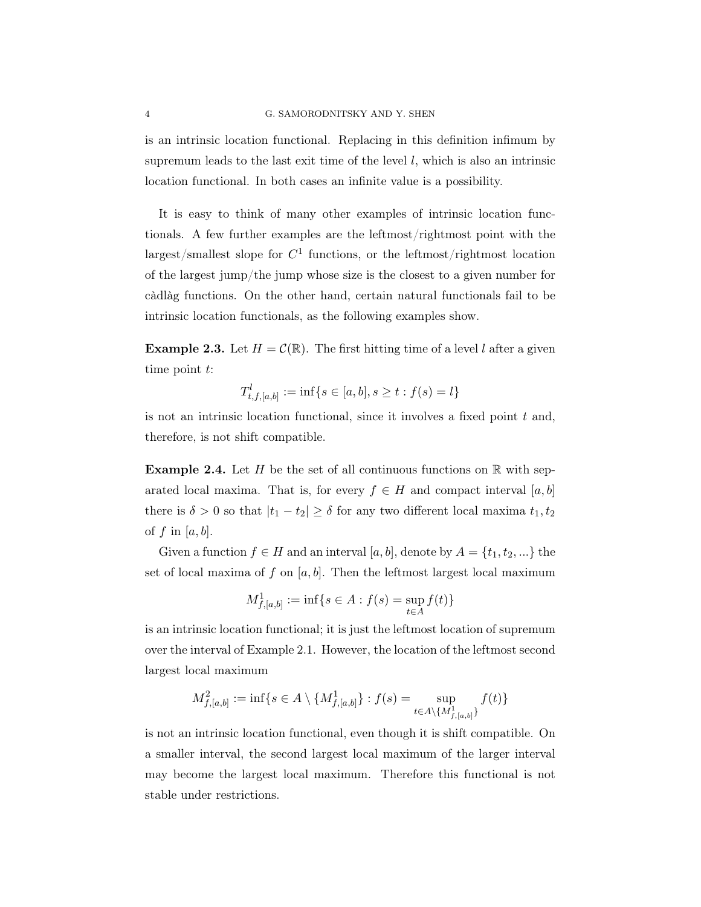is an intrinsic location functional. Replacing in this definition infimum by supremum leads to the last exit time of the level  $l$ , which is also an intrinsic location functional. In both cases an infinite value is a possibility.

It is easy to think of many other examples of intrinsic location functionals. A few further examples are the leftmost/rightmost point with the largest/smallest slope for  $C<sup>1</sup>$  functions, or the leftmost/rightmost location of the largest jump/the jump whose size is the closest to a given number for càdlàg functions. On the other hand, certain natural functionals fail to be intrinsic location functionals, as the following examples show.

**Example 2.3.** Let  $H = \mathcal{C}(\mathbb{R})$ . The first hitting time of a level l after a given time point  $t$ :

$$
T_{t,f,[a,b]}^l := \inf\{s \in [a,b], s \ge t : f(s) = l\}
$$

is not an intrinsic location functional, since it involves a fixed point  $t$  and, therefore, is not shift compatible.

**Example 2.4.** Let H be the set of all continuous functions on  $\mathbb{R}$  with separated local maxima. That is, for every  $f \in H$  and compact interval [a, b] there is  $\delta > 0$  so that  $|t_1 - t_2| \ge \delta$  for any two different local maxima  $t_1, t_2$ of f in  $[a, b]$ .

Given a function  $f \in H$  and an interval  $[a, b]$ , denote by  $A = \{t_1, t_2, ...\}$  the set of local maxima of f on  $[a, b]$ . Then the leftmost largest local maximum

$$
M^1_{f,[a,b]} := \inf\{s \in A : f(s) = \sup_{t \in A} f(t)\}
$$

is an intrinsic location functional; it is just the leftmost location of supremum over the interval of Example 2.1. However, the location of the leftmost second largest local maximum

$$
M_{f,[a,b]}^2 := \inf\{s \in A \setminus \{M_{f,[a,b]}^1\} : f(s) = \sup_{t \in A \setminus \{M_{f,[a,b]}^1\}} f(t)\}
$$

is not an intrinsic location functional, even though it is shift compatible. On a smaller interval, the second largest local maximum of the larger interval may become the largest local maximum. Therefore this functional is not stable under restrictions.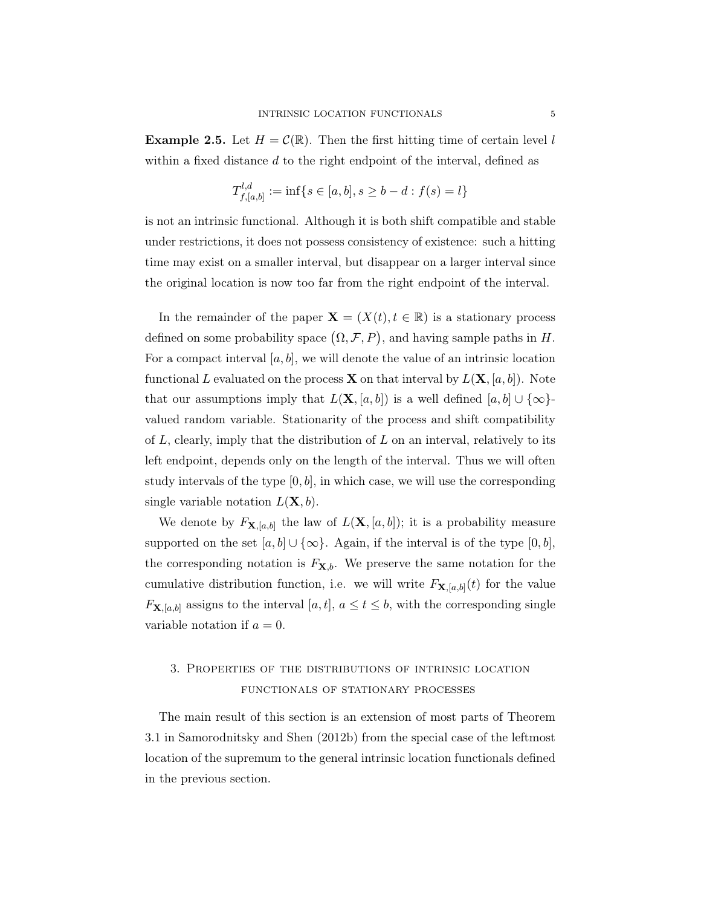**Example 2.5.** Let  $H = \mathcal{C}(\mathbb{R})$ . Then the first hitting time of certain level l within a fixed distance d to the right endpoint of the interval, defined as

$$
T_{f,[a,b]}^{l,d} := \inf\{s \in [a,b], s \ge b - d : f(s) = l\}
$$

is not an intrinsic functional. Although it is both shift compatible and stable under restrictions, it does not possess consistency of existence: such a hitting time may exist on a smaller interval, but disappear on a larger interval since the original location is now too far from the right endpoint of the interval.

In the remainder of the paper  $\mathbf{X} = (X(t), t \in \mathbb{R})$  is a stationary process defined on some probability space  $(\Omega, \mathcal{F}, P)$ , and having sample paths in H. For a compact interval  $[a, b]$ , we will denote the value of an intrinsic location functional L evaluated on the process **X** on that interval by  $L(\mathbf{X}, [a, b])$ . Note that our assumptions imply that  $L(\mathbf{X}, [a, b])$  is a well defined  $[a, b] \cup \{\infty\}$ valued random variable. Stationarity of the process and shift compatibility of  $L$ , clearly, imply that the distribution of  $L$  on an interval, relatively to its left endpoint, depends only on the length of the interval. Thus we will often study intervals of the type  $[0, b]$ , in which case, we will use the corresponding single variable notation  $L(\mathbf{X}, b)$ .

We denote by  $F_{\mathbf{X},[a,b]}$  the law of  $L(\mathbf{X},[a,b])$ ; it is a probability measure supported on the set  $[a, b] \cup \{\infty\}$ . Again, if the interval is of the type  $[0, b]$ , the corresponding notation is  $F_{\mathbf{X},b}$ . We preserve the same notation for the cumulative distribution function, i.e. we will write  $F_{\mathbf{X},[a,b]}(t)$  for the value  $F_{\mathbf{X},[a,b]}$  assigns to the interval  $[a,t], a \le t \le b$ , with the corresponding single variable notation if  $a = 0$ .

# 3. Properties of the distributions of intrinsic location FUNCTIONALS OF STATIONARY PROCESSES

The main result of this section is an extension of most parts of Theorem 3.1 in Samorodnitsky and Shen (2012b) from the special case of the leftmost location of the supremum to the general intrinsic location functionals defined in the previous section.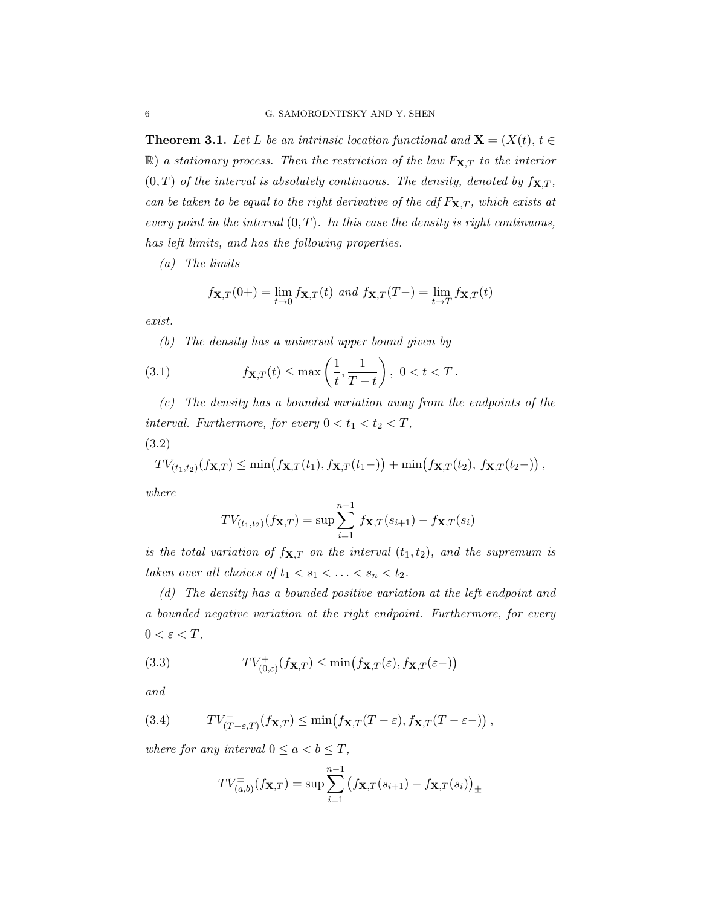**Theorem 3.1.** Let L be an intrinsic location functional and  $X = (X(t), t \in$  $\mathbb{R}$ ) a stationary process. Then the restriction of the law  $F_{\mathbf{X},T}$  to the interior  $(0, T)$  of the interval is absolutely continuous. The density, denoted by  $f_{\mathbf{X},T}$ , can be taken to be equal to the right derivative of the cdf  $F_{\mathbf{X},T}$ , which exists at every point in the interval  $(0, T)$ . In this case the density is right continuous, has left limits, and has the following properties.

(a) The limits

$$
f_{\mathbf{X},T}(0+) = \lim_{t \to 0} f_{\mathbf{X},T}(t) \text{ and } f_{\mathbf{X},T}(T-) = \lim_{t \to T} f_{\mathbf{X},T}(t)
$$

exist.

(b) The density has a universal upper bound given by

(3.1) 
$$
f_{\mathbf{X},T}(t) \le \max\left(\frac{1}{t}, \frac{1}{T-t}\right), 0 < t < T.
$$

(c) The density has a bounded variation away from the endpoints of the interval. Furthermore, for every  $0 < t_1 < t_2 < T$ , (3.2)

$$
TV_{(t_1,t_2)}(f_{\mathbf{X},T}) \leq \min(f_{\mathbf{X},T}(t_1),f_{\mathbf{X},T}(t_1-)) + \min(f_{\mathbf{X},T}(t_2),f_{\mathbf{X},T}(t_2-)),
$$

where

$$
TV_{(t_1,t_2)}(f_{\mathbf{X},T}) = \sup \sum_{i=1}^{n-1} |f_{\mathbf{X},T}(s_{i+1}) - f_{\mathbf{X},T}(s_i)|
$$

is the total variation of  $f_{\mathbf{X},T}$  on the interval  $(t_1, t_2)$ , and the supremum is taken over all choices of  $t_1 < s_1 < \ldots < s_n < t_2$ .

(d) The density has a bounded positive variation at the left endpoint and a bounded negative variation at the right endpoint. Furthermore, for every  $0 < \varepsilon < T$ ,

(3.3) 
$$
TV_{(0,\varepsilon)}^+(f_{\mathbf{X},T}) \leq \min(f_{\mathbf{X},T}(\varepsilon),f_{\mathbf{X},T}(\varepsilon-))
$$

and

(3.4) 
$$
TV_{(T-\varepsilon,T)}^-(f_{\mathbf{X},T}) \leq \min(f_{\mathbf{X},T}(T-\varepsilon),f_{\mathbf{X},T}(T-\varepsilon-)),
$$

where for any interval  $0 \le a < b \le T$ ,

$$
TV_{(a,b)}^{\pm}(f_{\mathbf{X},T}) = \sup \sum_{i=1}^{n-1} (f_{\mathbf{X},T}(s_{i+1}) - f_{\mathbf{X},T}(s_i))_{\pm}
$$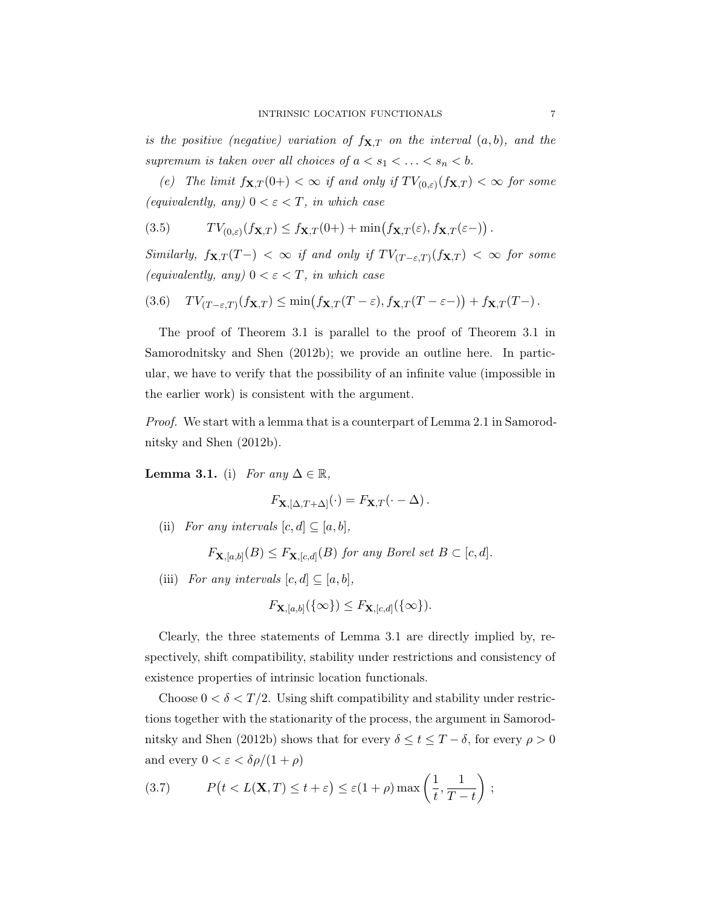is the positive (negative) variation of  $f_{\mathbf{X},T}$  on the interval  $(a, b)$ , and the supremum is taken over all choices of  $a < s_1 < \ldots < s_n < b$ .

(e) The limit  $f_{\mathbf{X},T}(0+) < \infty$  if and only if  $TV_{(0,\varepsilon)}(f_{\mathbf{X},T}) < \infty$  for some (equivalently, any)  $0 < \varepsilon < T$ , in which case

(3.5) 
$$
TV_{(0,\varepsilon)}(f_{\mathbf{X},T}) \leq f_{\mathbf{X},T}(0+) + \min(f_{\mathbf{X},T}(\varepsilon), f_{\mathbf{X},T}(\varepsilon-)) .
$$

Similarly,  $f_{\mathbf{X},T}(T-) < \infty$  if and only if  $TV_{(T-\varepsilon,T)}(f_{\mathbf{X},T}) < \infty$  for some (equivalently, any)  $0 < \varepsilon < T$ , in which case

(3.6) 
$$
TV_{(T-\varepsilon,T)}(f_{\mathbf{X},T}) \leq \min(f_{\mathbf{X},T}(T-\varepsilon),f_{\mathbf{X},T}(T-\varepsilon-)) + f_{\mathbf{X},T}(T-).
$$

The proof of Theorem 3.1 is parallel to the proof of Theorem 3.1 in Samorodnitsky and Shen (2012b); we provide an outline here. In particular, we have to verify that the possibility of an infinite value (impossible in the earlier work) is consistent with the argument.

Proof. We start with a lemma that is a counterpart of Lemma 2.1 in Samorodnitsky and Shen (2012b).

Lemma 3.1. (i) For any  $\Delta \in \mathbb{R}$ ,

$$
F_{\mathbf{X},[\Delta,T+\Delta]}(\cdot) = F_{\mathbf{X},T}(\cdot - \Delta).
$$

(ii) For any intervals  $[c, d] \subseteq [a, b],$ 

 $F_{\mathbf{X},[a,b]}(B) \leq F_{\mathbf{X},[c,d]}(B)$  for any Borel set  $B \subset [c,d]$ .

(iii) For any intervals  $[c, d] \subseteq [a, b]$ ,

$$
F_{\mathbf{X},[a,b]}(\{\infty\}) \leq F_{\mathbf{X},[c,d]}(\{\infty\}).
$$

Clearly, the three statements of Lemma 3.1 are directly implied by, respectively, shift compatibility, stability under restrictions and consistency of existence properties of intrinsic location functionals.

Choose  $0 < \delta < T/2$ . Using shift compatibility and stability under restrictions together with the stationarity of the process, the argument in Samorodnitsky and Shen (2012b) shows that for every  $\delta \leq t \leq T - \delta$ , for every  $\rho > 0$ and every  $0 < \varepsilon < \delta \rho/(1+\rho)$ 

(3.7) 
$$
P(t < L(\mathbf{X}, T) \le t + \varepsilon) \le \varepsilon (1 + \rho) \max\left(\frac{1}{t}, \frac{1}{T - t}\right);
$$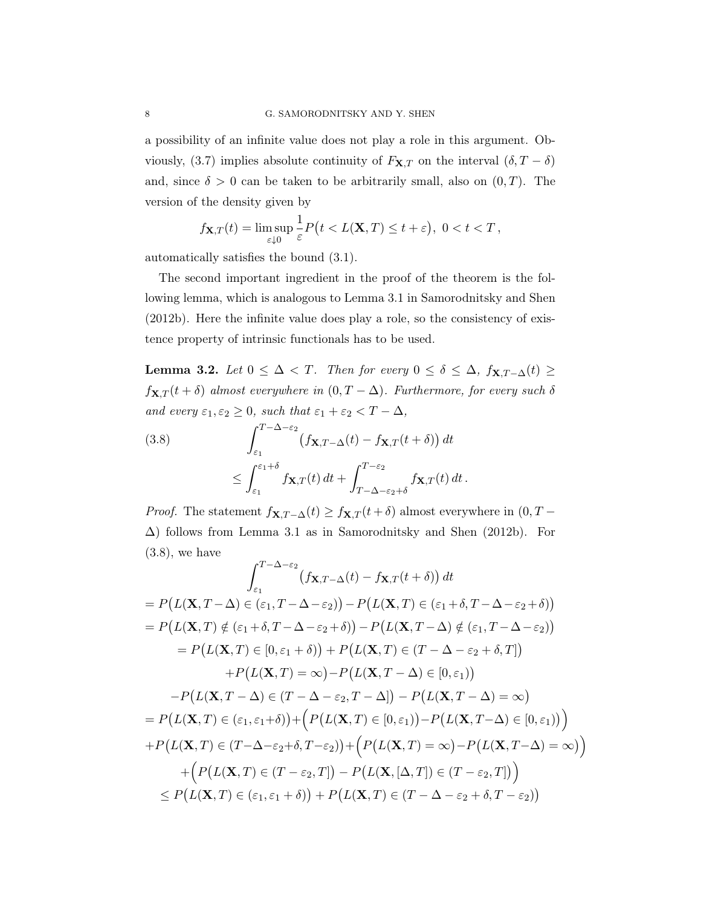a possibility of an infinite value does not play a role in this argument. Obviously, (3.7) implies absolute continuity of  $F_{\mathbf{X},T}$  on the interval  $(\delta, T - \delta)$ and, since  $\delta > 0$  can be taken to be arbitrarily small, also on  $(0, T)$ . The version of the density given by

$$
f_{\mathbf{X},T}(t) = \limsup_{\varepsilon \downarrow 0} \frac{1}{\varepsilon} P(t < L(\mathbf{X}, T) \le t + \varepsilon), \ 0 < t < T,
$$

automatically satisfies the bound (3.1).

The second important ingredient in the proof of the theorem is the following lemma, which is analogous to Lemma 3.1 in Samorodnitsky and Shen (2012b). Here the infinite value does play a role, so the consistency of existence property of intrinsic functionals has to be used.

Lemma 3.2. Let  $0 \leq \Delta < T$ . Then for every  $0 \leq \delta \leq \Delta$ ,  $f_{\mathbf{X},T-\Delta}(t) \geq$  $f_{\mathbf{X},T}(t+\delta)$  almost everywhere in  $(0,T-\Delta)$ . Furthermore, for every such  $\delta$ and every  $\varepsilon_1, \varepsilon_2 \geq 0$ , such that  $\varepsilon_1 + \varepsilon_2 < T - \Delta$ ,

(3.8) 
$$
\int_{\varepsilon_1}^{T-\Delta-\varepsilon_2} (f_{\mathbf{X},T-\Delta}(t) - f_{\mathbf{X},T}(t+\delta)) dt
$$

$$
\leq \int_{\varepsilon_1}^{\varepsilon_1+\delta} f_{\mathbf{X},T}(t) dt + \int_{T-\Delta-\varepsilon_2+\delta}^{T-\varepsilon_2} f_{\mathbf{X},T}(t) dt.
$$

*Proof.* The statement  $f_{\mathbf{X},T-\Delta}(t) \geq f_{\mathbf{X},T}(t+\delta)$  almost everywhere in  $(0, T -$ ∆) follows from Lemma 3.1 as in Samorodnitsky and Shen (2012b). For  $(3.8)$ , we have

$$
\int_{\varepsilon_1}^{T-\Delta-\varepsilon_2} (f_{\mathbf{X},T-\Delta}(t) - f_{\mathbf{X},T}(t+\delta)) dt
$$
  
\n
$$
= P(L(\mathbf{X},T-\Delta) \in (\varepsilon_1,T-\Delta-\varepsilon_2)) - P(L(\mathbf{X},T) \in (\varepsilon_1+\delta,T-\Delta-\varepsilon_2+\delta))
$$
  
\n
$$
= P(L(\mathbf{X},T) \notin (\varepsilon_1+\delta,T-\Delta-\varepsilon_2+\delta)) - P(L(\mathbf{X},T-\Delta) \notin (\varepsilon_1,T-\Delta-\varepsilon_2))
$$
  
\n
$$
= P(L(\mathbf{X},T) \in [0,\varepsilon_1+\delta)) + P(L(\mathbf{X},T) \in (T-\Delta-\varepsilon_2+\delta,T])
$$
  
\n
$$
+ P(L(\mathbf{X},T) = \infty) - P(L(\mathbf{X},T-\Delta) \in [0,\varepsilon_1))
$$
  
\n
$$
-P(L(\mathbf{X},T-\Delta) \in (T-\Delta-\varepsilon_2,T-\Delta]) - P(L(\mathbf{X},T-\Delta) = \infty)
$$
  
\n
$$
= P(L(\mathbf{X},T) \in (\varepsilon_1,\varepsilon_1+\delta)) + \left(P(L(\mathbf{X},T) \in [0,\varepsilon_1)) - P(L(\mathbf{X},T-\Delta) \in [0,\varepsilon_1))\right)
$$
  
\n
$$
+ P(L(\mathbf{X},T) \in (T-\Delta-\varepsilon_2+\delta,T-\varepsilon_2)) + \left(P(L(\mathbf{X},T) = \infty) - P(L(\mathbf{X},T-\Delta) = \infty)\right)
$$
  
\n
$$
+ \left(P(L(\mathbf{X},T) \in (T-\varepsilon_2,T]) - P(L(\mathbf{X},[\Delta,T]) \in (T-\varepsilon_2,T])\right)
$$
  
\n
$$
\leq P(L(\mathbf{X},T) \in (\varepsilon_1,\varepsilon_1+\delta)) + P(L(\mathbf{X},T) \in (T-\Delta-\varepsilon_2+\delta,T-\varepsilon_2))
$$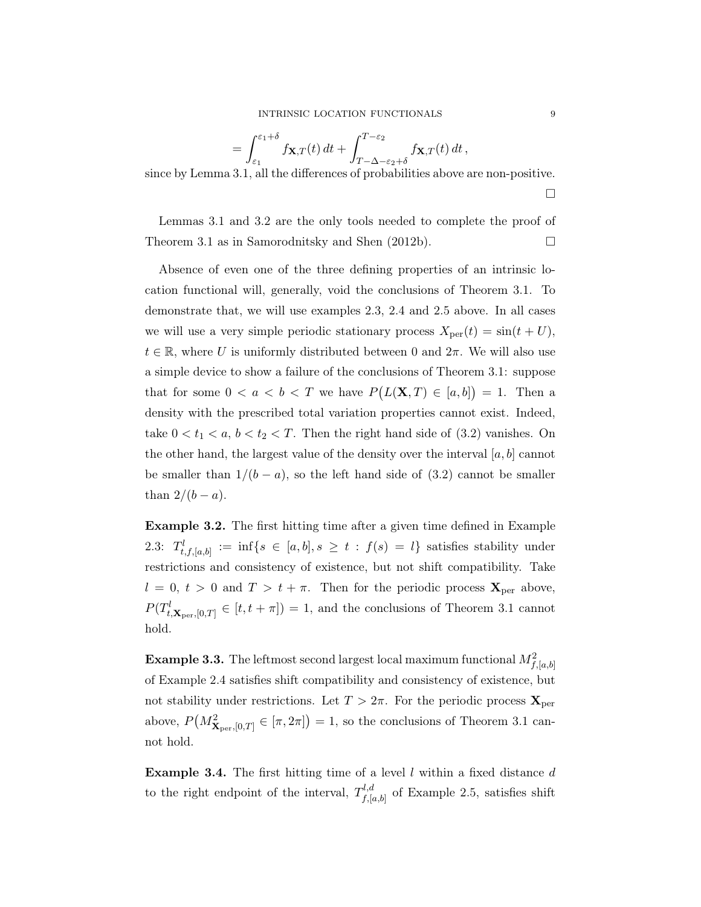$$
= \int_{\varepsilon_1}^{\varepsilon_1+\delta} f_{\mathbf{X},T}(t) dt + \int_{T-\Delta-\varepsilon_2+\delta}^{T-\varepsilon_2} f_{\mathbf{X},T}(t) dt,
$$

since by Lemma 3.1, all the differences of probabilities above are non-positive.

 $\Box$ 

Lemmas 3.1 and 3.2 are the only tools needed to complete the proof of Theorem 3.1 as in Samorodnitsky and Shen (2012b).  $\Box$ 

Absence of even one of the three defining properties of an intrinsic location functional will, generally, void the conclusions of Theorem 3.1. To demonstrate that, we will use examples 2.3, 2.4 and 2.5 above. In all cases we will use a very simple periodic stationary process  $X_{\text{per}}(t) = \sin(t + U)$ ,  $t \in \mathbb{R}$ , where U is uniformly distributed between 0 and  $2\pi$ . We will also use a simple device to show a failure of the conclusions of Theorem 3.1: suppose that for some  $0 < a < b < T$  we have  $P(L(\mathbf{X},T) \in [a,b]) = 1$ . Then a density with the prescribed total variation properties cannot exist. Indeed, take  $0 < t_1 < a, b < t_2 < T$ . Then the right hand side of  $(3.2)$  vanishes. On the other hand, the largest value of the density over the interval  $[a, b]$  cannot be smaller than  $1/(b - a)$ , so the left hand side of (3.2) cannot be smaller than  $2/(b - a)$ .

Example 3.2. The first hitting time after a given time defined in Example 2.3:  $T_{t,f,[a,b]}^l := \inf\{s \in [a,b], s \geq t : f(s) = l\}$  satisfies stability under restrictions and consistency of existence, but not shift compatibility. Take  $l = 0, t > 0$  and  $T > t + \pi$ . Then for the periodic process  $\mathbf{X}_{\text{per}}$  above,  $P(T_{t,\mathbf{X}_{\text{per}},[0,T]}^{l} \in [t,t+\pi]) = 1$ , and the conclusions of Theorem 3.1 cannot hold.

**Example 3.3.** The leftmost second largest local maximum functional  $M_{f,[a,b]}^2$ of Example 2.4 satisfies shift compatibility and consistency of existence, but not stability under restrictions. Let  $T > 2\pi$ . For the periodic process  $\mathbf{X}_{\text{per}}$ above,  $P(M_{\mathbf{X}_{\text{per}},[0,T]}^2 \in [\pi,2\pi]) = 1$ , so the conclusions of Theorem 3.1 cannot hold.

**Example 3.4.** The first hitting time of a level l within a fixed distance d to the right endpoint of the interval,  $T_{f_k}^{l,d}$  $f_{,[a,b]}^{u,a}$  of Example 2.5, satisfies shift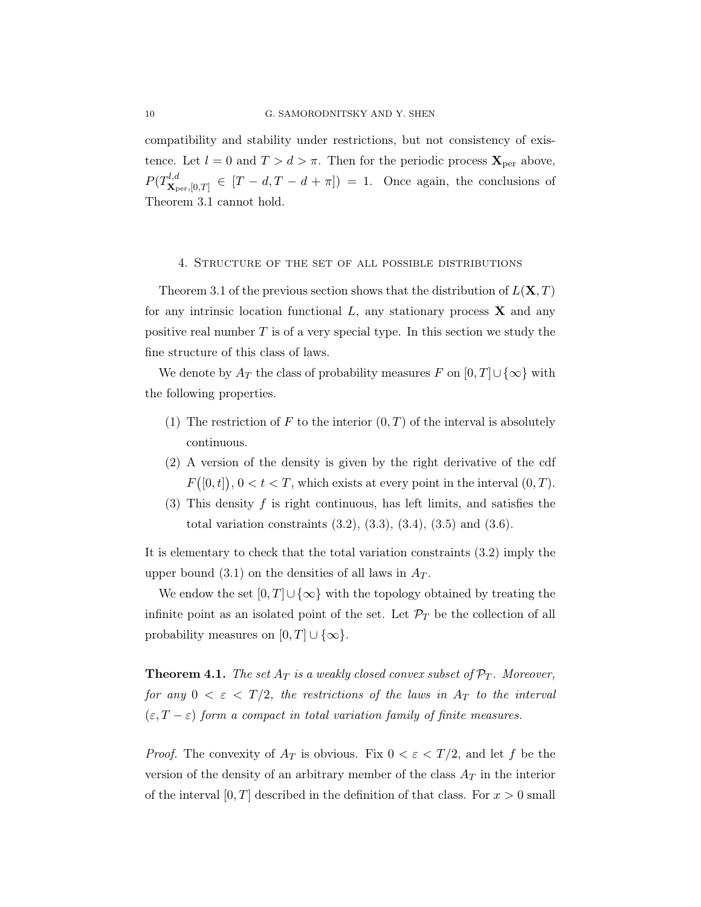compatibility and stability under restrictions, but not consistency of existence. Let  $l = 0$  and  $T > d > \pi$ . Then for the periodic process  $\mathbf{X}_{\text{per}}$  above,  $P(T^{l,d}_{\mathbf{x}})$  $\mathbf{x}_{\text{per},[0,T]} \in [T-d,T-d+\pi] = 1.$  Once again, the conclusions of Theorem 3.1 cannot hold.

#### 4. Structure of the set of all possible distributions

Theorem 3.1 of the previous section shows that the distribution of  $L(\mathbf{X}, T)$ for any intrinsic location functional  $L$ , any stationary process  $\bf{X}$  and any positive real number  $T$  is of a very special type. In this section we study the fine structure of this class of laws.

We denote by  $A_T$  the class of probability measures F on  $[0, T] \cup {\infty}$  with the following properties.

- (1) The restriction of F to the interior  $(0, T)$  of the interval is absolutely continuous.
- (2) A version of the density is given by the right derivative of the cdf  $F([0, t]), 0 < t < T$ , which exists at every point in the interval  $(0, T)$ .
- (3) This density  $f$  is right continuous, has left limits, and satisfies the total variation constraints  $(3.2)$ ,  $(3.3)$ ,  $(3.4)$ ,  $(3.5)$  and  $(3.6)$ .

It is elementary to check that the total variation constraints (3.2) imply the upper bound (3.1) on the densities of all laws in  $A_T$ .

We endow the set  $[0, T] \cup \{\infty\}$  with the topology obtained by treating the infinite point as an isolated point of the set. Let  $\mathcal{P}_T$  be the collection of all probability measures on  $[0, T] \cup \{\infty\}.$ 

**Theorem 4.1.** The set  $A_T$  is a weakly closed convex subset of  $\mathcal{P}_T$ . Moreover, for any  $0 < \varepsilon < T/2$ , the restrictions of the laws in  $A_T$  to the interval  $(\varepsilon, T - \varepsilon)$  form a compact in total variation family of finite measures.

*Proof.* The convexity of  $A_T$  is obvious. Fix  $0 < \varepsilon < T/2$ , and let f be the version of the density of an arbitrary member of the class  $A_T$  in the interior of the interval [0, T] described in the definition of that class. For  $x > 0$  small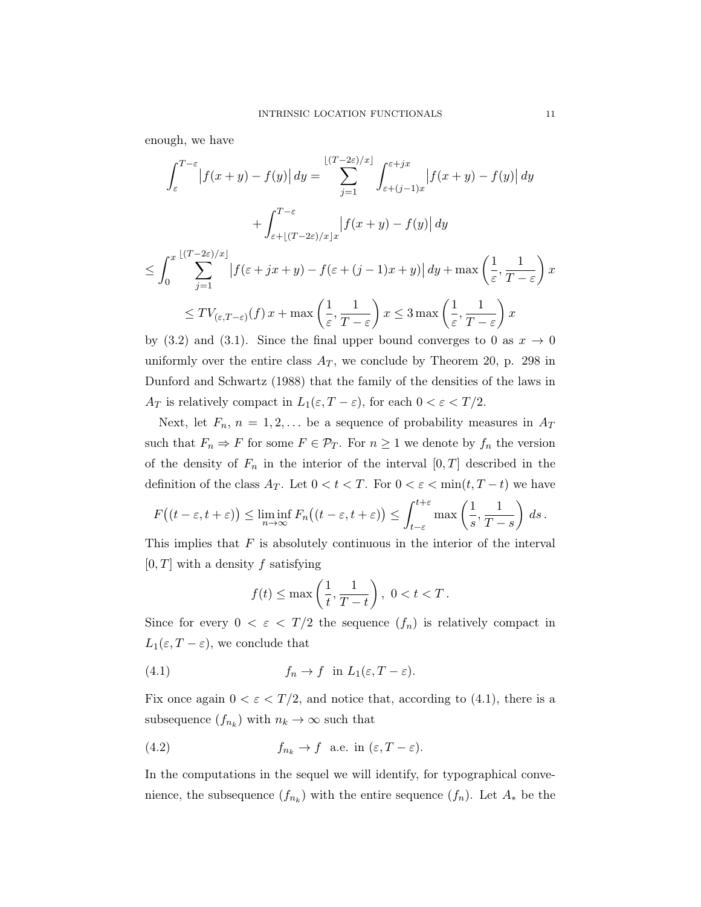enough, we have

$$
\int_{\varepsilon}^{T-\varepsilon} \left| f(x+y) - f(y) \right| dy = \sum_{j=1}^{\lfloor (T-2\varepsilon)/x \rfloor} \int_{\varepsilon+(j-1)x}^{\varepsilon+jx} \left| f(x+y) - f(y) \right| dy
$$
  
+ 
$$
\int_{\varepsilon+\lfloor (T-2\varepsilon)/x \rfloor x}^{T-\varepsilon} \left| f(x+y) - f(y) \right| dy
$$
  

$$
\leq \int_{0}^{x} \sum_{j=1}^{\lfloor (T-2\varepsilon)/x \rfloor} \left| f(\varepsilon+jx+y) - f(\varepsilon+(j-1)x+y) \right| dy + \max \left( \frac{1}{\varepsilon}, \frac{1}{T-\varepsilon} \right) x
$$

$$
\leq TV_{(\varepsilon,T-\varepsilon)}(f)x + \max\left(\frac{1}{\varepsilon},\frac{1}{T-\varepsilon}\right)x \leq 3\max\left(\frac{1}{\varepsilon},\frac{1}{T-\varepsilon}\right)x
$$

by (3.2) and (3.1). Since the final upper bound converges to 0 as  $x \to 0$ uniformly over the entire class  $A_T$ , we conclude by Theorem 20, p. 298 in Dunford and Schwartz (1988) that the family of the densities of the laws in  $A_T$  is relatively compact in  $L_1(\varepsilon, T - \varepsilon)$ , for each  $0 < \varepsilon < T/2$ .

Next, let  $F_n$ ,  $n = 1, 2, \ldots$  be a sequence of probability measures in  $A_T$ such that  $F_n \Rightarrow F$  for some  $F \in \mathcal{P}_T$ . For  $n \geq 1$  we denote by  $f_n$  the version of the density of  $F_n$  in the interior of the interval  $[0, T]$  described in the definition of the class  $A_T$ . Let  $0 < t < T$ . For  $0 < \varepsilon < \min(t, T - t)$  we have

$$
F\big((t-\varepsilon,t+\varepsilon)\big) \leq \liminf_{n\to\infty} F_n\big((t-\varepsilon,t+\varepsilon)\big) \leq \int_{t-\varepsilon}^{t+\varepsilon} \max\left(\frac{1}{s},\frac{1}{T-s}\right) ds.
$$

This implies that  $F$  is absolutely continuous in the interior of the interval  $[0, T]$  with a density f satisfying

$$
f(t) \le \max\left(\frac{1}{t}, \frac{1}{T-t}\right), \ 0 < t < T.
$$

Since for every  $0 < \varepsilon < T/2$  the sequence  $(f_n)$  is relatively compact in  $L_1(\varepsilon, T - \varepsilon)$ , we conclude that

(4.1) 
$$
f_n \to f \text{ in } L_1(\varepsilon, T - \varepsilon).
$$

Fix once again  $0 < \varepsilon < T/2$ , and notice that, according to (4.1), there is a subsequence  $(f_{n_k})$  with  $n_k \to \infty$  such that

(4.2) 
$$
f_{n_k} \to f
$$
 a.e. in  $(\varepsilon, T - \varepsilon)$ .

In the computations in the sequel we will identify, for typographical convenience, the subsequence  $(f_{n_k})$  with the entire sequence  $(f_n)$ . Let  $A_*$  be the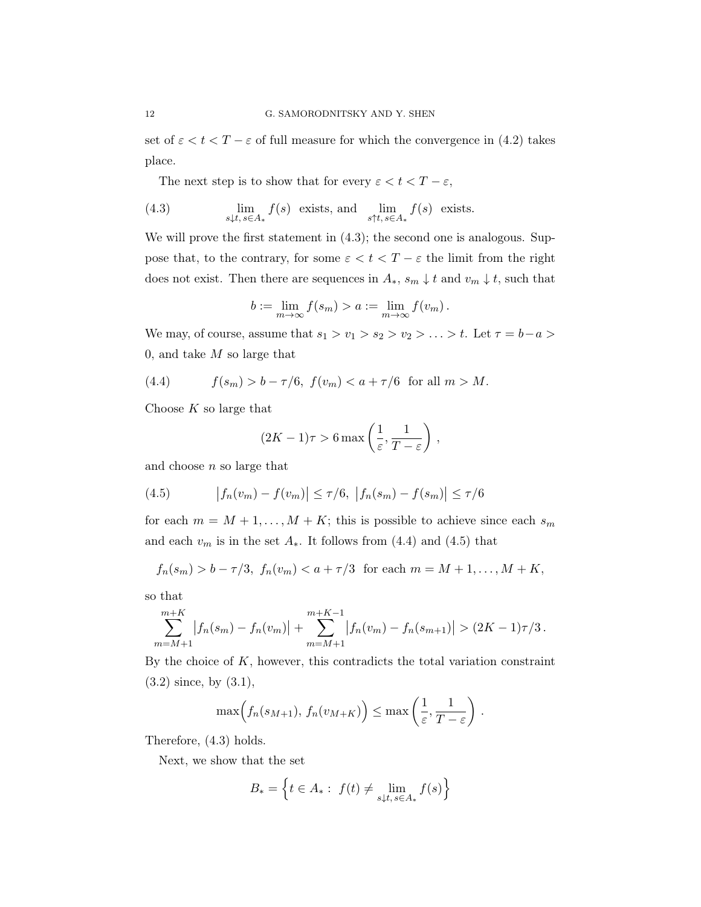set of  $\varepsilon < t < T - \varepsilon$  of full measure for which the convergence in (4.2) takes place.

The next step is to show that for every  $\varepsilon < t < T - \varepsilon$ ,

(4.3) 
$$
\lim_{s \downarrow t, s \in A_*} f(s) \text{ exists, and } \lim_{s \uparrow t, s \in A_*} f(s) \text{ exists.}
$$

We will prove the first statement in  $(4.3)$ ; the second one is analogous. Suppose that, to the contrary, for some  $\varepsilon < t < T - \varepsilon$  the limit from the right does not exist. Then there are sequences in  $A_*, s_m \downarrow t$  and  $v_m \downarrow t$ , such that

$$
b := \lim_{m \to \infty} f(s_m) > a := \lim_{m \to \infty} f(v_m).
$$

We may, of course, assume that  $s_1 > v_1 > s_2 > v_2 > \ldots > t$ . Let  $\tau = b-a$ 0, and take  $M$  so large that

(4.4) 
$$
f(s_m) > b - \tau/6
$$
,  $f(v_m) < a + \tau/6$  for all  $m > M$ .

Choose  $K$  so large that

$$
(2K-1)\tau > 6 \max\left(\frac{1}{\varepsilon}, \frac{1}{T-\varepsilon}\right),\,
$$

and choose  $n$  so large that

(4.5) 
$$
|f_n(v_m) - f(v_m)| \le \tau/6, \ |f_n(s_m) - f(s_m)| \le \tau/6
$$

for each  $m = M + 1, ..., M + K$ ; this is possible to achieve since each  $s_m$ and each  $v_m$  is in the set  $A_*$ . It follows from (4.4) and (4.5) that

$$
f_n(s_m) > b - \tau/3
$$
,  $f_n(v_m) < a + \tau/3$  for each  $m = M + 1, ..., M + K$ ,

so that

$$
\sum_{m=M+1}^{m+K} |f_n(s_m) - f_n(v_m)| + \sum_{m=M+1}^{m+K-1} |f_n(v_m) - f_n(s_{m+1})| > (2K-1)\tau/3.
$$

By the choice of  $K$ , however, this contradicts the total variation constraint (3.2) since, by (3.1),

$$
\max(f_n(s_{M+1}), f_n(v_{M+K})\big) \leq \max\left(\frac{1}{\varepsilon}, \frac{1}{T-\varepsilon}\right).
$$

Therefore, (4.3) holds.

Next, we show that the set

$$
B_* = \left\{ t \in A_* : f(t) \neq \lim_{s \downarrow t, s \in A_*} f(s) \right\}
$$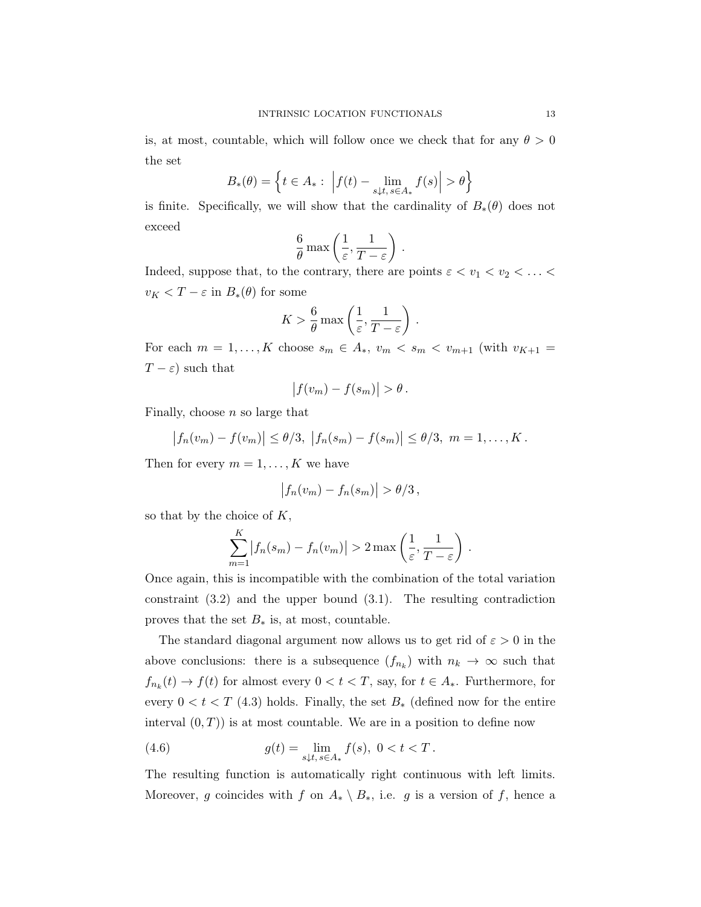is, at most, countable, which will follow once we check that for any  $\theta > 0$ the set

$$
B_*(\theta) = \left\{ t \in A_* : \left| f(t) - \lim_{s \downarrow t, s \in A_*} f(s) \right| > \theta \right\}
$$

is finite. Specifically, we will show that the cardinality of  $B_*(\theta)$  does not exceed

$$
\frac{6}{\theta} \max \left( \frac{1}{\varepsilon}, \frac{1}{T-\varepsilon} \right) .
$$

Indeed, suppose that, to the contrary, there are points  $\varepsilon < v_1 < v_2 < \ldots <$  $v_K < T - \varepsilon$  in  $B_*(\theta)$  for some

$$
K > \frac{6}{\theta} \max\left(\frac{1}{\varepsilon}, \frac{1}{T-\varepsilon}\right).
$$

For each  $m = 1, \ldots, K$  choose  $s_m \in A_*$ ,  $v_m < s_m < v_{m+1}$  (with  $v_{K+1} =$  $T - \varepsilon$ ) such that

$$
|f(v_m) - f(s_m)| > \theta.
$$

Finally, choose  $n$  so large that

$$
|f_n(v_m) - f(v_m)| \le \theta/3, |f_n(s_m) - f(s_m)| \le \theta/3, m = 1,..., K.
$$

Then for every  $m = 1, \ldots, K$  we have

$$
\left|f_n(v_m) - f_n(s_m)\right| > \theta/3,
$$

so that by the choice of  $K$ ,

$$
\sum_{m=1}^{K} |f_n(s_m) - f_n(v_m)| > 2 \max \left( \frac{1}{\varepsilon}, \frac{1}{T - \varepsilon} \right).
$$

Once again, this is incompatible with the combination of the total variation constraint (3.2) and the upper bound (3.1). The resulting contradiction proves that the set  $B_*$  is, at most, countable.

The standard diagonal argument now allows us to get rid of  $\varepsilon > 0$  in the above conclusions: there is a subsequence  $(f_{n_k})$  with  $n_k \to \infty$  such that  $f_{n_k}(t) \to f(t)$  for almost every  $0 < t < T$ , say, for  $t \in A_*$ . Furthermore, for every  $0 < t < T$  (4.3) holds. Finally, the set  $B_*$  (defined now for the entire interval  $(0, T)$  is at most countable. We are in a position to define now

(4.6) 
$$
g(t) = \lim_{s \downarrow t, s \in A_*} f(s), \ 0 < t < T.
$$

The resulting function is automatically right continuous with left limits. Moreover, g coincides with f on  $A_* \setminus B_*$ , i.e. g is a version of f, hence a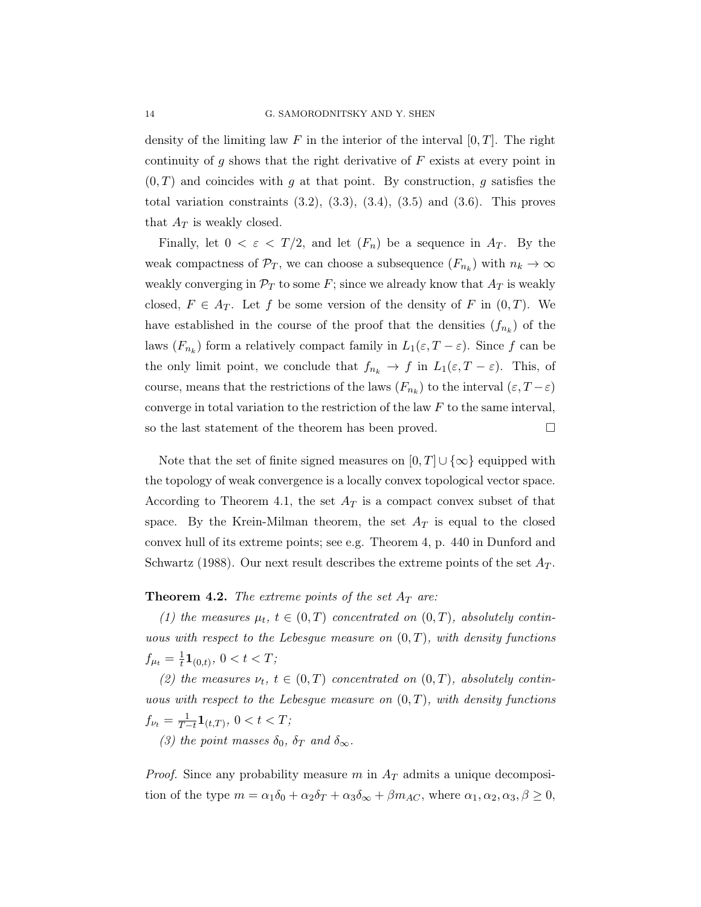density of the limiting law F in the interior of the interval  $[0, T]$ . The right continuity of  $g$  shows that the right derivative of  $F$  exists at every point in  $(0, T)$  and coincides with g at that point. By construction, g satisfies the total variation constraints  $(3.2), (3.3), (3.4), (3.5)$  and  $(3.6)$ . This proves that  $A_T$  is weakly closed.

Finally, let  $0 < \varepsilon < T/2$ , and let  $(F_n)$  be a sequence in  $A_T$ . By the weak compactness of  $\mathcal{P}_T$ , we can choose a subsequence  $(F_{n_k})$  with  $n_k \to \infty$ weakly converging in  $\mathcal{P}_T$  to some F; since we already know that  $A_T$  is weakly closed,  $F \in A_T$ . Let f be some version of the density of F in  $(0, T)$ . We have established in the course of the proof that the densities  $(f_{n_k})$  of the laws  $(F_{n_k})$  form a relatively compact family in  $L_1(\varepsilon, T - \varepsilon)$ . Since f can be the only limit point, we conclude that  $f_{n_k} \to f$  in  $L_1(\varepsilon, T - \varepsilon)$ . This, of course, means that the restrictions of the laws  $(F_{n_k})$  to the interval  $(\varepsilon, T - \varepsilon)$ converge in total variation to the restriction of the law  $F$  to the same interval, so the last statement of the theorem has been proved.

Note that the set of finite signed measures on  $[0, T] \cup \{\infty\}$  equipped with the topology of weak convergence is a locally convex topological vector space. According to Theorem 4.1, the set  $A_T$  is a compact convex subset of that space. By the Krein-Milman theorem, the set  $A_T$  is equal to the closed convex hull of its extreme points; see e.g. Theorem 4, p. 440 in Dunford and Schwartz (1988). Our next result describes the extreme points of the set  $A_T$ .

#### **Theorem 4.2.** The extreme points of the set  $A_T$  are:

(1) the measures  $\mu_t$ ,  $t \in (0,T)$  concentrated on  $(0,T)$ , absolutely continuous with respect to the Lebesgue measure on  $(0, T)$ , with density functions  $f_{\mu_t} = \frac{1}{t}$  $\frac{1}{t} \mathbf{1}_{(0,t)}, 0 < t < T;$ 

(2) the measures  $\nu_t$ ,  $t \in (0,T)$  concentrated on  $(0,T)$ , absolutely continuous with respect to the Lebesque measure on  $(0, T)$ , with density functions  $f_{\nu_t} = \frac{1}{T-t} \mathbf{1}_{(t,T)}$ ,  $0 < t < T$ ;

(3) the point masses  $\delta_0$ ,  $\delta_T$  and  $\delta_\infty$ .

*Proof.* Since any probability measure m in  $A_T$  admits a unique decomposition of the type  $m = \alpha_1 \delta_0 + \alpha_2 \delta_T + \alpha_3 \delta_\infty + \beta m_{AC}$ , where  $\alpha_1, \alpha_2, \alpha_3, \beta \ge 0$ ,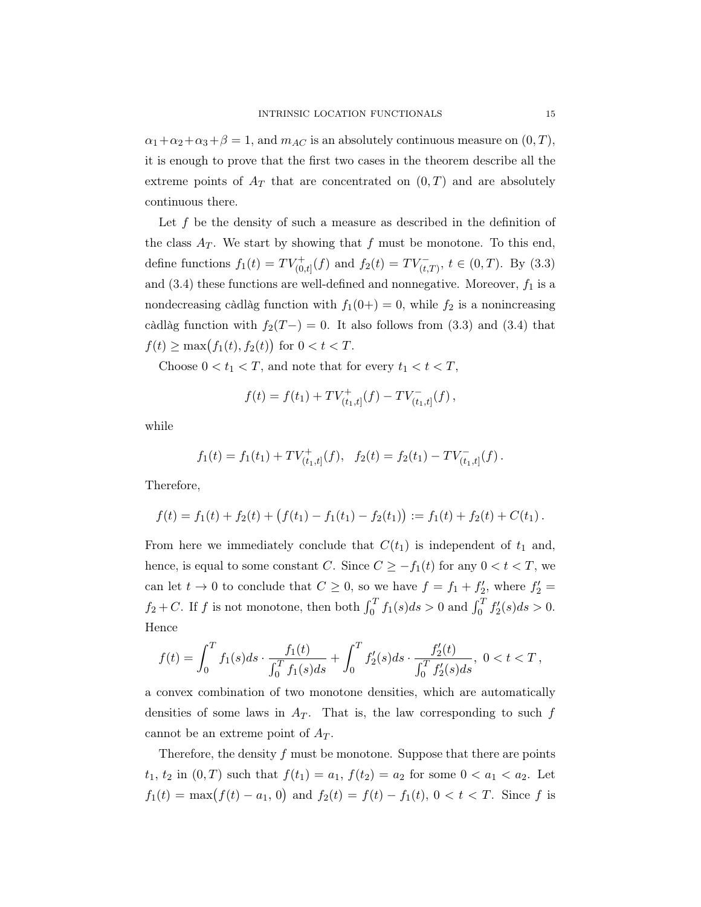$\alpha_1 + \alpha_2 + \alpha_3 + \beta = 1$ , and  $m_{AC}$  is an absolutely continuous measure on  $(0, T)$ , it is enough to prove that the first two cases in the theorem describe all the extreme points of  $A_T$  that are concentrated on  $(0, T)$  and are absolutely continuous there.

Let f be the density of such a measure as described in the definition of the class  $A_T$ . We start by showing that f must be monotone. To this end, define functions  $f_1(t) = TV^+_{(0,t]}(f)$  and  $f_2(t) = TV^-_{(t,T)}$ ,  $t \in (0,T)$ . By (3.3) and  $(3.4)$  these functions are well-defined and nonnegative. Moreover,  $f_1$  is a nondecreasing càdlàg function with  $f_1(0+) = 0$ , while  $f_2$  is a nonincreasing càdlàg function with  $f_2(T-)=0$ . It also follows from (3.3) and (3.4) that  $f(t) \ge \max(f_1(t), f_2(t))$  for  $0 < t < T$ .

Choose  $0 < t_1 < T$ , and note that for every  $t_1 < t < T$ ,

$$
f(t) = f(t_1) + TV_{(t_1,t]}^+(f) - TV_{(t_1,t]}^-(f),
$$

while

$$
f_1(t) = f_1(t_1) + TV_{(t_1,t]}^+(f), \quad f_2(t) = f_2(t_1) - TV_{(t_1,t]}^-(f).
$$

Therefore,

$$
f(t) = f_1(t) + f_2(t) + (f(t_1) - f_1(t_1) - f_2(t_1)) := f_1(t) + f_2(t) + C(t_1).
$$

From here we immediately conclude that  $C(t_1)$  is independent of  $t_1$  and, hence, is equal to some constant C. Since  $C \geq -f_1(t)$  for any  $0 < t < T$ , we can let  $t \to 0$  to conclude that  $C \geq 0$ , so we have  $f = f_1 + f'_2$ , where  $f'_2 =$  $f_2 + C$ . If f is not monotone, then both  $\int_0^T f_1(s)ds > 0$  and  $\int_0^T f_2'(s)ds > 0$ . Hence

$$
f(t) = \int_0^T f_1(s)ds \cdot \frac{f_1(t)}{\int_0^T f_1(s)ds} + \int_0^T f_2'(s)ds \cdot \frac{f_2'(t)}{\int_0^T f_2'(s)ds}, \ 0 < t < T,
$$

a convex combination of two monotone densities, which are automatically densities of some laws in  $A_T$ . That is, the law corresponding to such f cannot be an extreme point of  $A_T$ .

Therefore, the density  $f$  must be monotone. Suppose that there are points  $t_1, t_2$  in  $(0, T)$  such that  $f(t_1) = a_1, f(t_2) = a_2$  for some  $0 < a_1 < a_2$ . Let  $f_1(t) = \max(f(t) - a_1, 0)$  and  $f_2(t) = f(t) - f_1(t), 0 < t < T$ . Since f is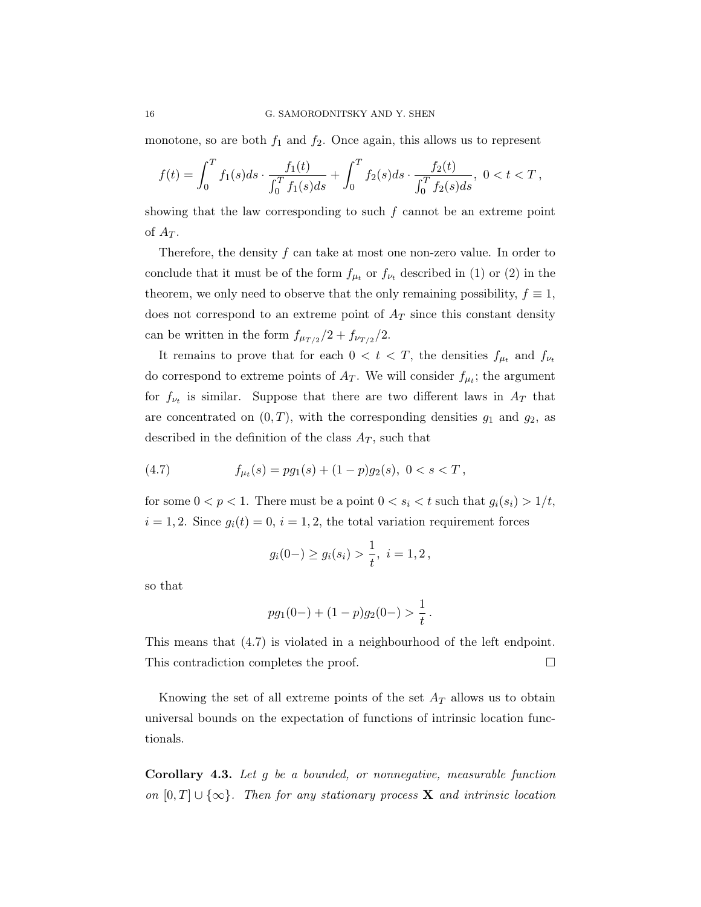monotone, so are both  $f_1$  and  $f_2$ . Once again, this allows us to represent

$$
f(t) = \int_0^T f_1(s)ds \cdot \frac{f_1(t)}{\int_0^T f_1(s)ds} + \int_0^T f_2(s)ds \cdot \frac{f_2(t)}{\int_0^T f_2(s)ds}, \ 0 < t < T,
$$

showing that the law corresponding to such  $f$  cannot be an extreme point of  $A_T$ .

Therefore, the density  $f$  can take at most one non-zero value. In order to conclude that it must be of the form  $f_{\mu_t}$  or  $f_{\nu_t}$  described in (1) or (2) in the theorem, we only need to observe that the only remaining possibility,  $f \equiv 1$ , does not correspond to an extreme point of  $A_T$  since this constant density can be written in the form  $f_{\mu_{T/2}}/2 + f_{\nu_{T/2}}/2$ .

It remains to prove that for each  $0 < t < T$ , the densities  $f_{\mu_t}$  and  $f_{\nu_t}$ do correspond to extreme points of  $A_T$ . We will consider  $f_{\mu_i}$ ; the argument for  $f_{\nu_t}$  is similar. Suppose that there are two different laws in  $A_T$  that are concentrated on  $(0, T)$ , with the corresponding densities  $g_1$  and  $g_2$ , as described in the definition of the class  $A_T$ , such that

(4.7) 
$$
f_{\mu_t}(s) = pg_1(s) + (1-p)g_2(s), \ 0 < s < T,
$$

for some  $0 < p < 1$ . There must be a point  $0 < s_i < t$  such that  $g_i(s_i) > 1/t$ ,  $i = 1, 2$ . Since  $g_i(t) = 0$ ,  $i = 1, 2$ , the total variation requirement forces

$$
g_i(0-) \ge g_i(s_i) > \frac{1}{t}, i = 1, 2,
$$

so that

$$
pg_1(0-) + (1-p)g_2(0-) > \frac{1}{t}.
$$

This means that (4.7) is violated in a neighbourhood of the left endpoint. This contradiction completes the proof.

Knowing the set of all extreme points of the set  $A_T$  allows us to obtain universal bounds on the expectation of functions of intrinsic location functionals.

Corollary 4.3. Let g be a bounded, or nonnegative, measurable function on  $[0, T] \cup \{\infty\}$ . Then for any stationary process **X** and intrinsic location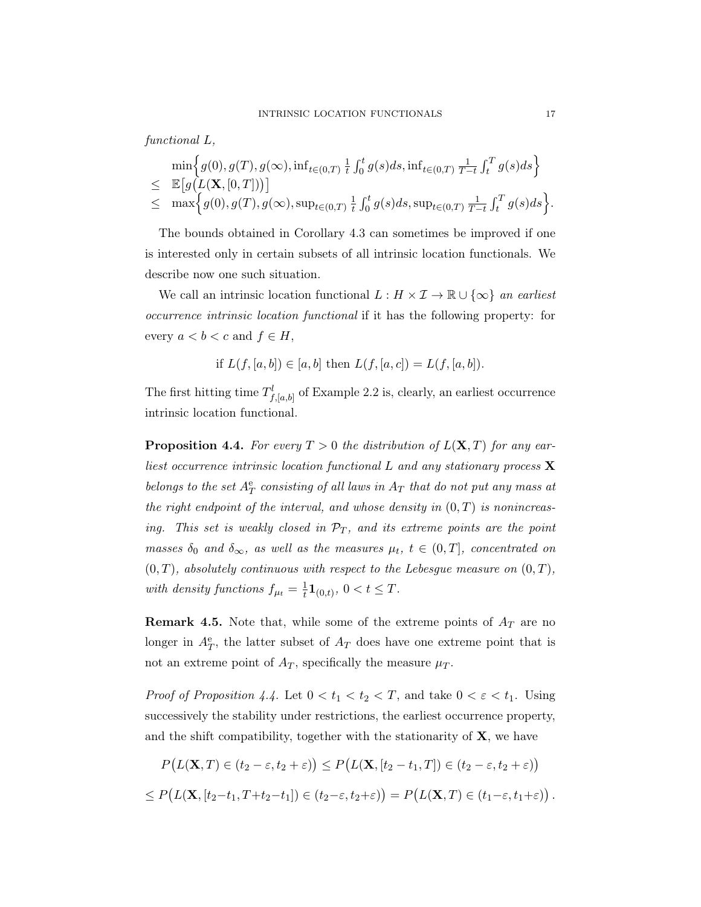functional L,

$$
\min \Big\{ g(0), g(T), g(\infty), \inf_{t \in (0,T)} \frac{1}{t} \int_0^t g(s) ds, \inf_{t \in (0,T)} \frac{1}{T-t} \int_t^T g(s) ds \Big\} \leq \mathbb{E} \Big[ g(L(\mathbf{X}, [0,T])) \Big] \leq \max \Big\{ g(0), g(T), g(\infty), \sup_{t \in (0,T)} \frac{1}{t} \int_0^t g(s) ds, \sup_{t \in (0,T)} \frac{1}{T-t} \int_t^T g(s) ds \Big\}.
$$

The bounds obtained in Corollary 4.3 can sometimes be improved if one is interested only in certain subsets of all intrinsic location functionals. We describe now one such situation.

We call an intrinsic location functional  $L : H \times \mathcal{I} \to \mathbb{R} \cup \{\infty\}$  an earliest occurrence intrinsic location functional if it has the following property: for every  $a < b < c$  and  $f \in H$ ,

if 
$$
L(f, [a, b]) \in [a, b]
$$
 then  $L(f, [a, c]) = L(f, [a, b])$ .

The first hitting time  $T^l_{f,[a,b]}$  of Example 2.2 is, clearly, an earliest occurrence intrinsic location functional.

**Proposition 4.4.** For every  $T > 0$  the distribution of  $L(X,T)$  for any earliest occurrence intrinsic location functional  $L$  and any stationary process  $X$ belongs to the set  $A_T^e$  consisting of all laws in  $A_T$  that do not put any mass at the right endpoint of the interval, and whose density in  $(0,T)$  is nonincreasing. This set is weakly closed in  $\mathcal{P}_T$ , and its extreme points are the point masses  $\delta_0$  and  $\delta_{\infty}$ , as well as the measures  $\mu_t$ ,  $t \in (0,T]$ , concentrated on  $(0, T)$ , absolutely continuous with respect to the Lebesgue measure on  $(0, T)$ , with density functions  $f_{\mu t} = \frac{1}{t}$  $\frac{1}{t} \mathbf{1}_{(0,t)}, 0 < t \leq T.$ 

**Remark 4.5.** Note that, while some of the extreme points of  $A_T$  are no longer in  $A_T^e$ , the latter subset of  $A_T$  does have one extreme point that is not an extreme point of  $A_T$ , specifically the measure  $\mu_T$ .

*Proof of Proposition 4.4.* Let  $0 < t_1 < t_2 < T$ , and take  $0 < \varepsilon < t_1$ . Using successively the stability under restrictions, the earliest occurrence property, and the shift compatibility, together with the stationarity of  $X$ , we have

$$
P(L(\mathbf{X},T) \in (t_2 - \varepsilon, t_2 + \varepsilon)) \le P(L(\mathbf{X}, [t_2 - t_1, T]) \in (t_2 - \varepsilon, t_2 + \varepsilon))
$$
  

$$
\le P(L(\mathbf{X}, [t_2 - t_1, T + t_2 - t_1]) \in (t_2 - \varepsilon, t_2 + \varepsilon)) = P(L(\mathbf{X}, T) \in (t_1 - \varepsilon, t_1 + \varepsilon)).
$$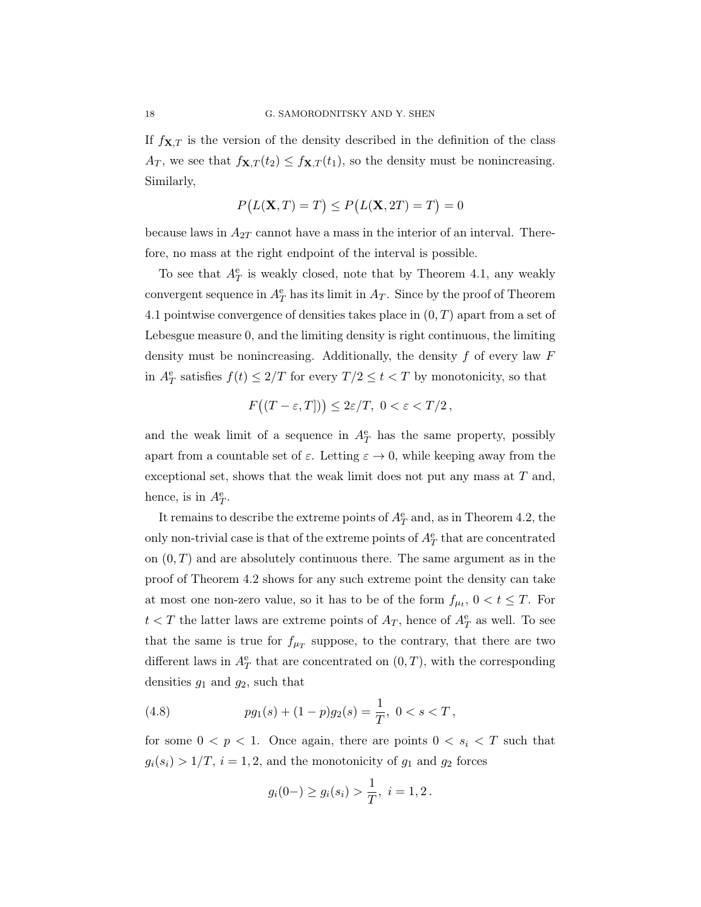If  $f_{\mathbf{X},T}$  is the version of the density described in the definition of the class  $A_T$ , we see that  $f_{\mathbf{X},T}(t_2) \leq f_{\mathbf{X},T}(t_1)$ , so the density must be nonincreasing. Similarly,

$$
P(L(\mathbf{X}, T) = T) \le P(L(\mathbf{X}, 2T) = T) = 0
$$

because laws in  $A_{2T}$  cannot have a mass in the interior of an interval. Therefore, no mass at the right endpoint of the interval is possible.

To see that  $A_T^e$  is weakly closed, note that by Theorem 4.1, any weakly convergent sequence in  $A_T^e$  has its limit in  $A_T$ . Since by the proof of Theorem 4.1 pointwise convergence of densities takes place in  $(0, T)$  apart from a set of Lebesgue measure 0, and the limiting density is right continuous, the limiting density must be nonincreasing. Additionally, the density  $f$  of every law  $F$ in  $A_T^e$  satisfies  $f(t) \leq 2/T$  for every  $T/2 \leq t < T$  by monotonicity, so that

$$
F((T-\varepsilon,T]) \le 2\varepsilon/T, \ 0 < \varepsilon < T/2 \,,
$$

and the weak limit of a sequence in  $A_T^e$  has the same property, possibly apart from a countable set of  $\varepsilon$ . Letting  $\varepsilon \to 0$ , while keeping away from the exceptional set, shows that the weak limit does not put any mass at  $T$  and, hence, is in  $A_T^e$ .

It remains to describe the extreme points of  $A_T^e$  and, as in Theorem 4.2, the only non-trivial case is that of the extreme points of  $A_T^{\text{e}}$  that are concentrated on  $(0, T)$  and are absolutely continuous there. The same argument as in the proof of Theorem 4.2 shows for any such extreme point the density can take at most one non-zero value, so it has to be of the form  $f_{\mu_t}$ ,  $0 < t \leq T$ . For  $t < T$  the latter laws are extreme points of  $A_T$ , hence of  $A_T^e$  as well. To see that the same is true for  $f_{\mu_T}$  suppose, to the contrary, that there are two different laws in  $A_T^e$  that are concentrated on  $(0, T)$ , with the corresponding densities  $g_1$  and  $g_2$ , such that

(4.8) 
$$
pg_1(s) + (1-p)g_2(s) = \frac{1}{T}, \ 0 < s < T,
$$

for some  $0 < p < 1$ . Once again, there are points  $0 < s_i < T$  such that  $g_i(s_i) > 1/T$ ,  $i = 1, 2$ , and the monotonicity of  $g_1$  and  $g_2$  forces

$$
g_i(0-) \ge g_i(s_i) > \frac{1}{T}, i = 1, 2.
$$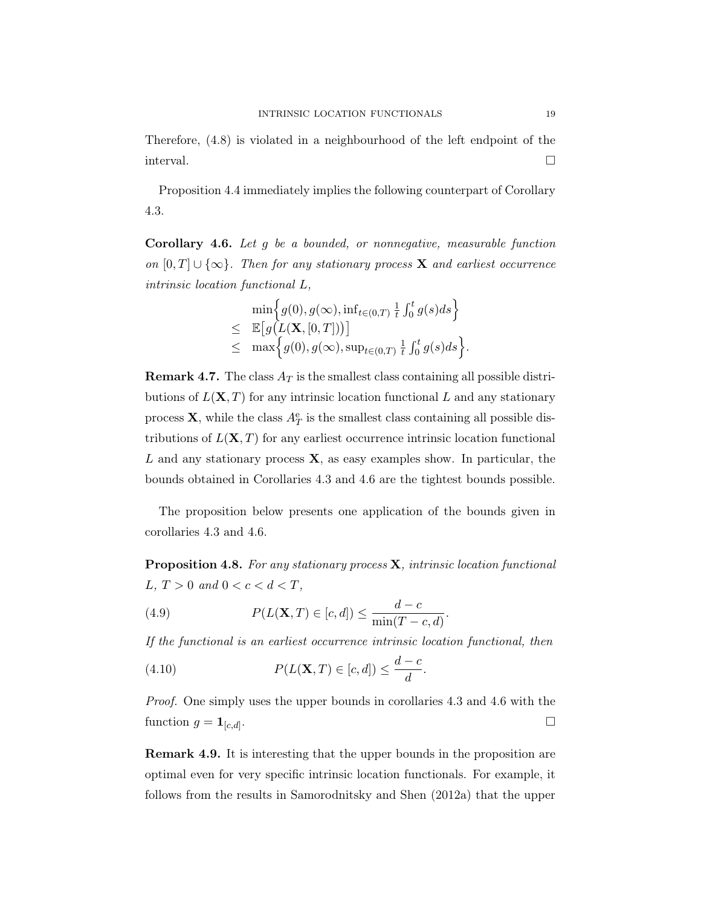Therefore, (4.8) is violated in a neighbourhood of the left endpoint of the interval.  $\Box$ 

Proposition 4.4 immediately implies the following counterpart of Corollary 4.3.

Corollary 4.6. Let g be a bounded, or nonnegative, measurable function on  $[0, T] \cup \{\infty\}$ . Then for any stationary process **X** and earliest occurrence intrinsic location functional L,

$$
\min\Big\{g(0), g(\infty), \inf_{t\in(0,T)}\frac{1}{t}\int_0^t g(s)ds\Big\}\leq \mathbb{E}\big[g(L(\mathbf{X}, [0,T]))\big]\leq \max\Big\{g(0), g(\infty), \sup_{t\in(0,T)}\frac{1}{t}\int_0^t g(s)ds\Big\}.
$$

**Remark 4.7.** The class  $A_T$  is the smallest class containing all possible distributions of  $L(X,T)$  for any intrinsic location functional L and any stationary process **X**, while the class  $A_T^e$  is the smallest class containing all possible distributions of  $L(X, T)$  for any earliest occurrence intrinsic location functional L and any stationary process  $X$ , as easy examples show. In particular, the bounds obtained in Corollaries 4.3 and 4.6 are the tightest bounds possible.

The proposition below presents one application of the bounds given in corollaries 4.3 and 4.6.

**Proposition 4.8.** For any stationary process  $\mathbf{X}$ , intrinsic location functional L,  $T > 0$  and  $0 < c < d < T$ ,

(4.9) 
$$
P(L(\mathbf{X}, T) \in [c, d]) \le \frac{d - c}{\min(T - c, d)}.
$$

If the functional is an earliest occurrence intrinsic location functional, then

.

(4.10) 
$$
P(L(\mathbf{X},T) \in [c,d]) \leq \frac{d-c}{d}
$$

Proof. One simply uses the upper bounds in corollaries 4.3 and 4.6 with the function  $g = \mathbf{1}_{[c,d]}.$ .

Remark 4.9. It is interesting that the upper bounds in the proposition are optimal even for very specific intrinsic location functionals. For example, it follows from the results in Samorodnitsky and Shen (2012a) that the upper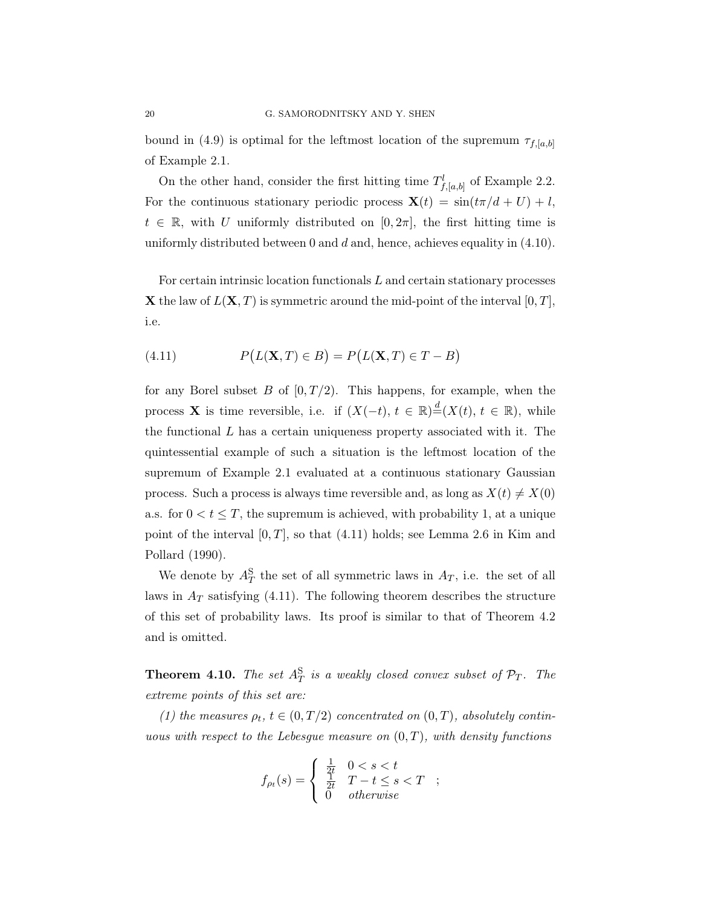bound in (4.9) is optimal for the leftmost location of the supremum  $\tau_{f,[a,b]}$ of Example 2.1.

On the other hand, consider the first hitting time  $T_{f,[a,b]}^l$  of Example 2.2. For the continuous stationary periodic process  $\mathbf{X}(t) = \sin(t\pi/d + U) + l$ ,  $t \in \mathbb{R}$ , with U uniformly distributed on [0, 2 $\pi$ ], the first hitting time is uniformly distributed between 0 and  $d$  and, hence, achieves equality in  $(4.10)$ .

For certain intrinsic location functionals L and certain stationary processes **X** the law of  $L(X, T)$  is symmetric around the mid-point of the interval  $[0, T]$ , i.e.

(4.11) 
$$
P(L(X, T) \in B) = P(L(X, T) \in T - B)
$$

for any Borel subset B of  $[0, T/2)$ . This happens, for example, when the process **X** is time reversible, i.e. if  $(X(-t), t \in \mathbb{R}) \stackrel{d}{=} (X(t), t \in \mathbb{R})$ , while the functional  $L$  has a certain uniqueness property associated with it. The quintessential example of such a situation is the leftmost location of the supremum of Example 2.1 evaluated at a continuous stationary Gaussian process. Such a process is always time reversible and, as long as  $X(t) \neq X(0)$ a.s. for  $0 < t \leq T$ , the supremum is achieved, with probability 1, at a unique point of the interval  $[0, T]$ , so that  $(4.11)$  holds; see Lemma 2.6 in Kim and Pollard (1990).

We denote by  $A_T^{\rm S}$  the set of all symmetric laws in  $A_T$ , i.e. the set of all laws in  $A_T$  satisfying (4.11). The following theorem describes the structure of this set of probability laws. Its proof is similar to that of Theorem 4.2 and is omitted.

**Theorem 4.10.** The set  $A_T^S$  is a weakly closed convex subset of  $\mathcal{P}_T$ . The extreme points of this set are:

(1) the measures  $\rho_t$ ,  $t \in (0,T/2)$  concentrated on  $(0,T)$ , absolutely continuous with respect to the Lebesgue measure on  $(0, T)$ , with density functions

$$
f_{\rho_t}(s) = \begin{cases} \frac{1}{2t} & 0 < s < t \\ \frac{1}{2t} & T - t \le s < T \\ 0 & \text{otherwise} \end{cases} \quad ;
$$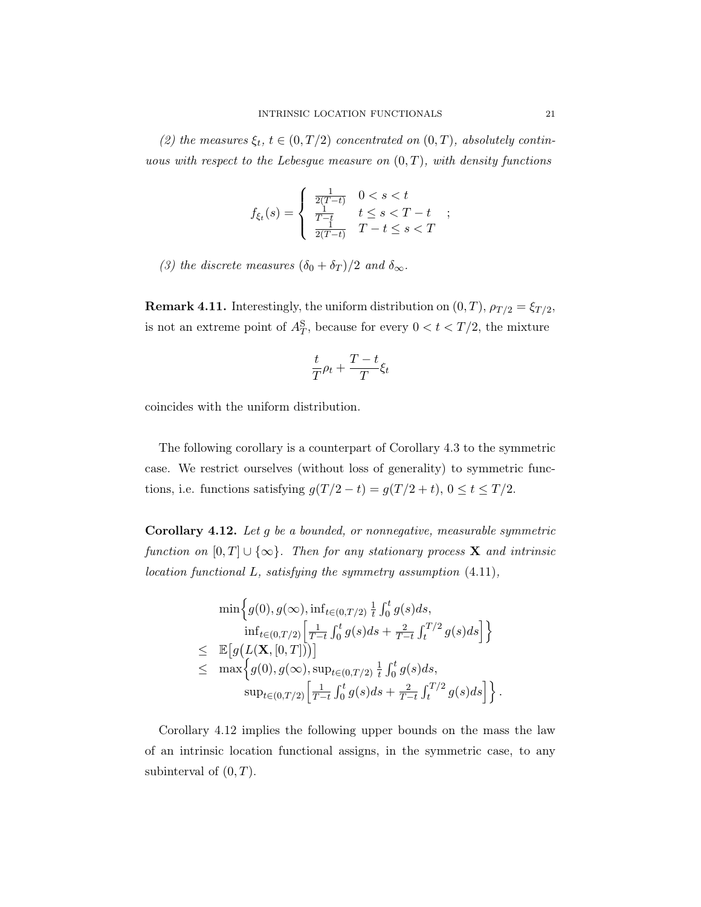(2) the measures  $\xi_t$ ,  $t \in (0, T/2)$  concentrated on  $(0, T)$ , absolutely continuous with respect to the Lebesgue measure on  $(0, T)$ , with density functions

$$
f_{\xi_t}(s) = \begin{cases} \frac{1}{2(T-t)} & 0 < s < t \\ \frac{1}{T-t} & t \le s < T-t \\ \frac{1}{2(T-t)} & T-t \le s < T \end{cases}
$$
;

(3) the discrete measures  $(\delta_0 + \delta_T)/2$  and  $\delta_{\infty}$ .

**Remark 4.11.** Interestingly, the uniform distribution on  $(0,T)$ ,  $\rho_{T/2} = \xi_{T/2}$ , is not an extreme point of  $A_T^S$ , because for every  $0 < t < T/2$ , the mixture

$$
\frac{t}{T}\rho_t+\frac{T-t}{T}\xi_t
$$

coincides with the uniform distribution.

The following corollary is a counterpart of Corollary 4.3 to the symmetric case. We restrict ourselves (without loss of generality) to symmetric functions, i.e. functions satisfying  $g(T/2 - t) = g(T/2 + t)$ ,  $0 \le t \le T/2$ .

Corollary 4.12. Let g be a bounded, or nonnegative, measurable symmetric function on  $[0, T] \cup \{\infty\}$ . Then for any stationary process **X** and intrinsic location functional L, satisfying the symmetry assumption (4.11),

$$
\min \Big\{ g(0), g(\infty), \inf_{t \in (0,T/2)} \frac{1}{t} \int_0^t g(s) ds, \n\inf_{t \in (0,T/2)} \Big[ \frac{1}{T-t} \int_0^t g(s) ds + \frac{2}{T-t} \int_t^{T/2} g(s) ds \Big] \Big\} \n\leq \mathbb{E} \Big[ g(L(\mathbf{X}, [0, T])) \Big] \n\leq \max \Big\{ g(0), g(\infty), \sup_{t \in (0,T/2)} \frac{1}{t} \int_0^t g(s) ds, \n\sup_{t \in (0,T/2)} \Big[ \frac{1}{T-t} \int_0^t g(s) ds + \frac{2}{T-t} \int_t^{T/2} g(s) ds \Big] \Big\} .
$$

Corollary 4.12 implies the following upper bounds on the mass the law of an intrinsic location functional assigns, in the symmetric case, to any subinterval of  $(0, T)$ .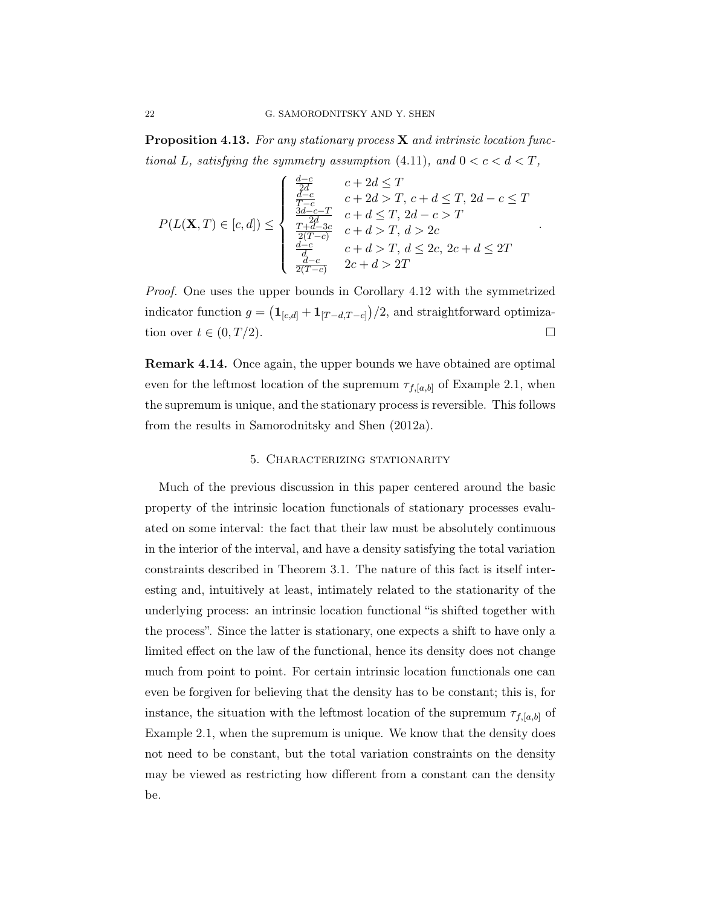**Proposition 4.13.** For any stationary process  $X$  and intrinsic location functional L, satisfying the symmetry assumption (4.11), and  $0 < c < d < T$ ,

$$
P(L(\mathbf{X}, T) \in [c, d]) \leq \begin{cases} \frac{d-c}{2d} & c + 2d \leq T \\ \frac{d-c}{T-c} & c + 2d > T, c + d \leq T, 2d - c \leq T \\ \frac{3d-c-T}{T+d-3c} & c + d \leq T, 2d - c > T \\ \frac{T+d-3c}{2(T-c)} & c + d > T, d > 2c \\ \frac{d-c}{d-c} & c + d > T, d \leq 2c, 2c + d \leq 2T \end{cases}
$$

.

Proof. One uses the upper bounds in Corollary 4.12 with the symmetrized indicator function  $g = (\mathbf{1}_{[c,d]} + \mathbf{1}_{[T-d,T-c]})/2$ , and straightforward optimization over  $t \in (0, T/2)$ .

Remark 4.14. Once again, the upper bounds we have obtained are optimal even for the leftmost location of the supremum  $\tau_{f,[a,b]}$  of Example 2.1, when the supremum is unique, and the stationary process is reversible. This follows from the results in Samorodnitsky and Shen (2012a).

## 5. Characterizing stationarity

Much of the previous discussion in this paper centered around the basic property of the intrinsic location functionals of stationary processes evaluated on some interval: the fact that their law must be absolutely continuous in the interior of the interval, and have a density satisfying the total variation constraints described in Theorem 3.1. The nature of this fact is itself interesting and, intuitively at least, intimately related to the stationarity of the underlying process: an intrinsic location functional "is shifted together with the process". Since the latter is stationary, one expects a shift to have only a limited effect on the law of the functional, hence its density does not change much from point to point. For certain intrinsic location functionals one can even be forgiven for believing that the density has to be constant; this is, for instance, the situation with the leftmost location of the supremum  $\tau_{f,[a,b]}$  of Example 2.1, when the supremum is unique. We know that the density does not need to be constant, but the total variation constraints on the density may be viewed as restricting how different from a constant can the density be.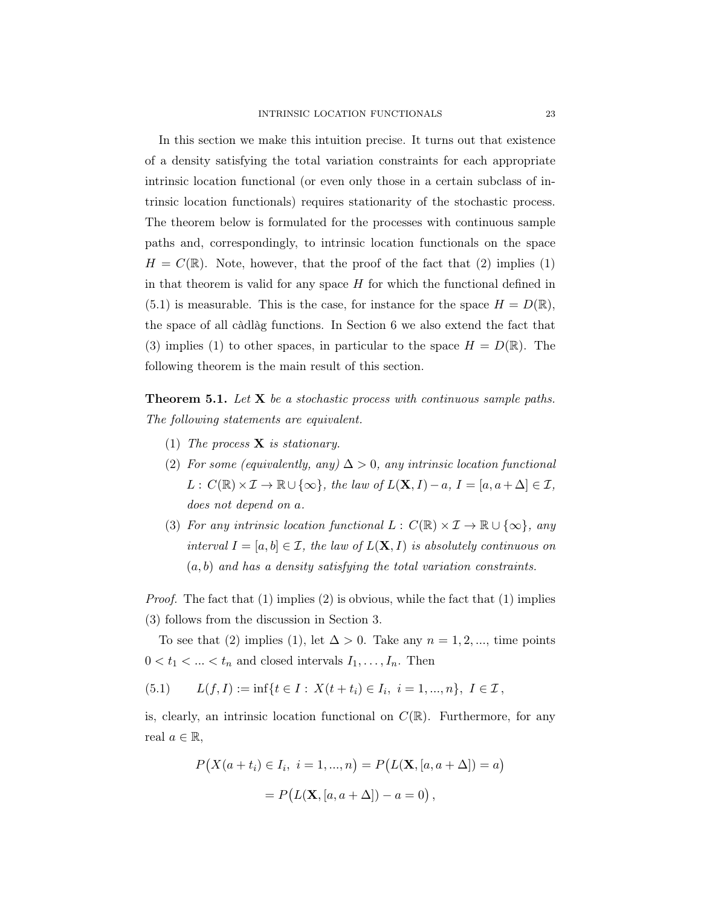In this section we make this intuition precise. It turns out that existence of a density satisfying the total variation constraints for each appropriate intrinsic location functional (or even only those in a certain subclass of intrinsic location functionals) requires stationarity of the stochastic process. The theorem below is formulated for the processes with continuous sample paths and, correspondingly, to intrinsic location functionals on the space  $H = C(\mathbb{R})$ . Note, however, that the proof of the fact that (2) implies (1) in that theorem is valid for any space  $H$  for which the functional defined in  $(5.1)$  is measurable. This is the case, for instance for the space  $H = D(\mathbb{R}),$ the space of all càdlàg functions. In Section 6 we also extend the fact that (3) implies (1) to other spaces, in particular to the space  $H = D(\mathbb{R})$ . The following theorem is the main result of this section.

**Theorem 5.1.** Let  $X$  be a stochastic process with continuous sample paths. The following statements are equivalent.

- (1) The process  $X$  is stationary.
- (2) For some (equivalently, any)  $\Delta > 0$ , any intrinsic location functional  $L: C(\mathbb{R}) \times \mathcal{I} \to \mathbb{R} \cup \{\infty\},\$  the law of  $L(\mathbf{X}, I) - a, I = [a, a + \Delta] \in \mathcal{I}$ , does not depend on a.
- (3) For any intrinsic location functional  $L : C(\mathbb{R}) \times \mathcal{I} \to \mathbb{R} \cup \{\infty\}$ , any interval  $I = [a, b] \in \mathcal{I}$ , the law of  $L(\mathbf{X}, I)$  is absolutely continuous on  $(a, b)$  and has a density satisfying the total variation constraints.

*Proof.* The fact that  $(1)$  implies  $(2)$  is obvious, while the fact that  $(1)$  implies (3) follows from the discussion in Section 3.

To see that (2) implies (1), let  $\Delta > 0$ . Take any  $n = 1, 2, \dots$ , time points  $0 < t_1 < \ldots < t_n$  and closed intervals  $I_1, \ldots, I_n$ . Then

(5.1)  $L(f, I) := \inf\{t \in I : X(t + t_i) \in I_i, i = 1, ..., n\}, I \in \mathcal{I},$ 

is, clearly, an intrinsic location functional on  $C(\mathbb{R})$ . Furthermore, for any real  $a \in \mathbb{R}$ ,

$$
P(X(a + t_i) \in I_i, i = 1, ..., n) = P(L(\mathbf{X}, [a, a + \Delta]) = a)
$$

$$
= P(L(\mathbf{X}, [a, a + \Delta]) - a = 0),
$$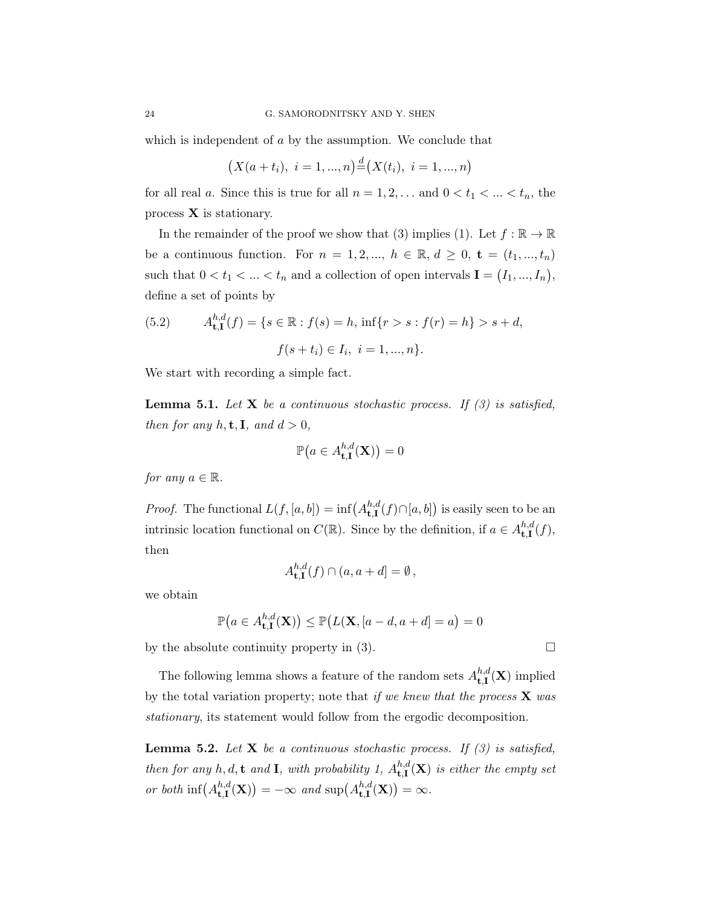which is independent of a by the assumption. We conclude that

$$
(X(a + t_i), i = 1, ..., n) \stackrel{d}{=} (X(t_i), i = 1, ..., n)
$$

for all real a. Since this is true for all  $n = 1, 2, \ldots$  and  $0 < t_1 < \ldots < t_n$ , the process  $X$  is stationary.

In the remainder of the proof we show that (3) implies (1). Let  $f : \mathbb{R} \to \mathbb{R}$ be a continuous function. For  $n = 1, 2, ..., h \in \mathbb{R}, d \geq 0, t = (t_1, ..., t_n)$ such that  $0 < t_1 < ... < t_n$  and a collection of open intervals  $I = (I_1, ..., I_n)$ , define a set of points by

(5.2) 
$$
A_{t, \mathbf{I}}^{h, d}(f) = \{ s \in \mathbb{R} : f(s) = h, \inf\{ r > s : f(r) = h \} > s + d, f(s + t_i) \in I_i, i = 1, ..., n \}.
$$

We start with recording a simple fact.

**Lemma 5.1.** Let **X** be a continuous stochastic process. If  $(3)$  is satisfied, then for any  $h, \mathbf{t}, \mathbf{I}$ , and  $d > 0$ ,

$$
\mathbb{P}\big(a\in A_{\mathbf{t},\mathbf{I}}^{h,d}(\mathbf{X})\big)=0
$$

for any  $a \in \mathbb{R}$ .

*Proof.* The functional  $L(f, [a, b]) = \inf (A^{h,d}_{\mathbf{H}})$  $_{\mathbf{t},\mathbf{I}}^{h,d}(f)\cap[a,b]$  is easily seen to be an intrinsic location functional on  $C(\mathbb{R})$ . Since by the definition, if  $a \in A^{h,d}_{\mathbf{t},\mathbf{I}}$  $\mathbf{t},\mathbf{I}^{n,a}(f),$ then

$$
A_{\mathbf{t},\mathbf{I}}^{h,d}(f) \cap (a,a+d] = \emptyset,
$$

we obtain

$$
\mathbb{P}\big(a\in A_{\mathbf{t},\mathbf{I}}^{h,d}(\mathbf{X})\big)\leq \mathbb{P}\big(L(\mathbf{X},[a-d,a+d]=a\big)=0
$$

by the absolute continuity property in (3).

The following lemma shows a feature of the random sets  $A^{h,d}_{\uparrow,\uparrow}$  $\mathbf{t}_{\mathbf{t},\mathbf{I}}^{n,a}(\mathbf{X})$  implied by the total variation property; note that if we knew that the process  $\bf{X}$  was stationary, its statement would follow from the ergodic decomposition.

**Lemma 5.2.** Let **X** be a continuous stochastic process. If  $(3)$  is satisfied, then for any h, d, t and **I**, with probability 1,  $A_{t,I}^{h,d}$  $\mathbf{t}^{n,a}_{t,\mathbf{I}}(\mathbf{X})$  is either the empty set or both  $\inf(A^{h,d}_{\text{f}})$  $t, t_{t,1}^{h,d}(\mathbf{X})) = -\infty$  and sup $(A_{t,1}^{h,d})$  ${}_{\mathbf{t},\mathbf{I}}^{h,d}(\mathbf{X})$  =  $\infty$ .

$$
\Box
$$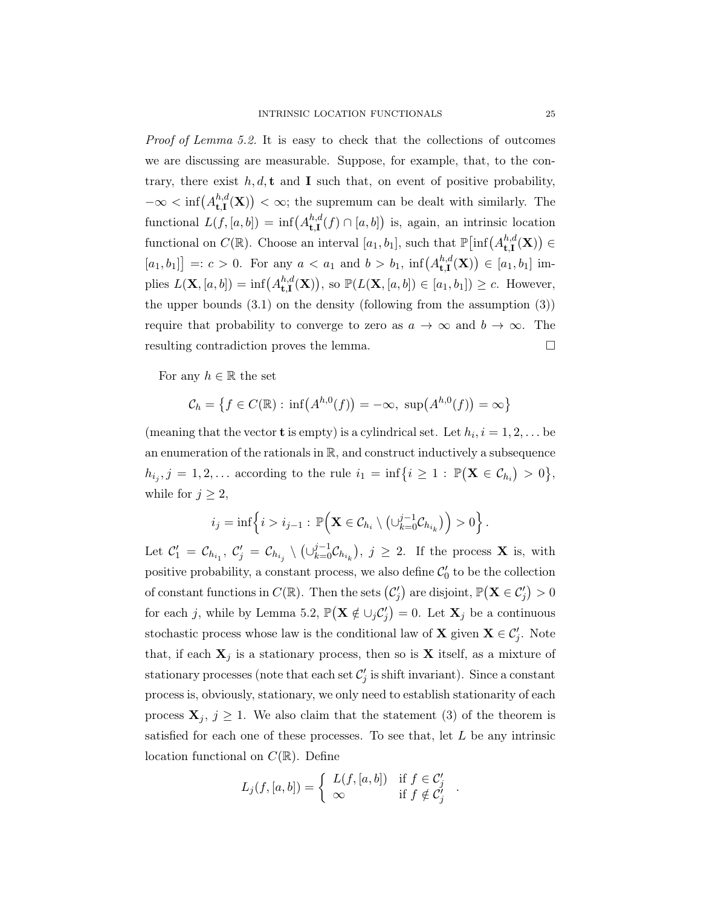Proof of Lemma 5.2. It is easy to check that the collections of outcomes we are discussing are measurable. Suppose, for example, that, to the contrary, there exist  $h, d, t$  and I such that, on event of positive probability,  $-\infty < \inf(A^{h,d}_{\text{f I}})$  $t_{t,\mathbf{I}}^{h,d}(\mathbf{X})$   $<$   $\infty$ ; the supremum can be dealt with similarly. The functional  $L(f, [a, b]) = \inf (A^{h,d}_{\text{f I}})$  $_{\mathbf{t},\mathbf{I}}^{h,d}(f) \cap [a,b]$ ) is, again, an intrinsic location functional on  $C(\mathbb{R})$ . Choose an interval  $[a_1, b_1]$ , such that  $\mathbb{P}[\inf(A_{\mathbf{t},\mathbf{I}}^{h,d}]$  $_{\mathbf{t},\mathbf{I}}^{h,d}(\mathbf{X})\big)\in$  $[a_1, b_1] =: c > 0$ . For any  $a < a_1$  and  $b > b_1$ , inf $(A^{h,d}_{t,I})$  $\mathfrak{t}^{h,d}_{\mathbf{t},\mathbf{I}}(\mathbf{X})\big) \in [a_1,b_1]$  implies  $L(\mathbf{X}, [a, b]) = \inf (A^{h,d}_{\mathbf{t},\mathbf{I}})$  $_{\mathbf{t},\mathbf{I}}^{h,d}(\mathbf{X})$ ), so  $\mathbb{P}(L(\mathbf{X}, [a, b]) \in [a_1, b_1]) \geq c$ . However, the upper bounds  $(3.1)$  on the density (following from the assumption  $(3)$ ) require that probability to converge to zero as  $a \to \infty$  and  $b \to \infty$ . The resulting contradiction proves the lemma.  $\Box$ 

For any  $h \in \mathbb{R}$  the set

$$
\mathcal{C}_h = \left\{ f \in C(\mathbb{R}) : \inf(A^{h,0}(f)) = -\infty, \ \sup(A^{h,0}(f)) = \infty \right\}
$$

(meaning that the vector **t** is empty) is a cylindrical set. Let  $h_i, i = 1, 2, \ldots$  be an enumeration of the rationals in  $\mathbb{R}$ , and construct inductively a subsequence  $h_{i_j}, j = 1, 2, \ldots$  according to the rule  $i_1 = \inf\{i \geq 1 : \mathbb{P}(\mathbf{X} \in \mathcal{C}_{h_i}) > 0\},$ while for  $j \geq 2$ ,

$$
i_j = \inf \left\{ i > i_{j-1} : \mathbb{P}\Big( \mathbf{X} \in \mathcal{C}_{h_i} \setminus \left( \cup_{k=0}^{j-1} \mathcal{C}_{h_{i_k}} \right) \Big) > 0 \right\}.
$$

Let  $\mathcal{C}'_1 = \mathcal{C}_{h_{i_1}}, \ \mathcal{C}'_j = \mathcal{C}_{h_{i_j}} \setminus (\cup_{k=0}^{j-1} \mathcal{C}_{h_{i_k}}), \ j \geq 2$ . If the process **X** is, with positive probability, a constant process, we also define  $\mathcal{C}'_0$  to be the collection of constant functions in  $C(\mathbb{R})$ . Then the sets  $(C'_j)$  are disjoint,  $\mathbb{P}(\mathbf{X} \in C'_j) > 0$ for each j, while by Lemma 5.2,  $\mathbb{P}(\mathbf{X} \notin \cup_j C'_j) = 0$ . Let  $\mathbf{X}_j$  be a continuous stochastic process whose law is the conditional law of **X** given  $\mathbf{X} \in C'_j$ . Note that, if each  $X_j$  is a stationary process, then so is X itself, as a mixture of stationary processes (note that each set  $\mathcal{C}'_j$  is shift invariant). Since a constant process is, obviously, stationary, we only need to establish stationarity of each process  $X_j, j \geq 1$ . We also claim that the statement (3) of the theorem is satisfied for each one of these processes. To see that, let  $L$  be any intrinsic location functional on  $C(\mathbb{R})$ . Define

$$
L_j(f, [a, b]) = \begin{cases} L(f, [a, b]) & \text{if } f \in C'_j \\ \infty & \text{if } f \notin C'_j \end{cases}
$$

.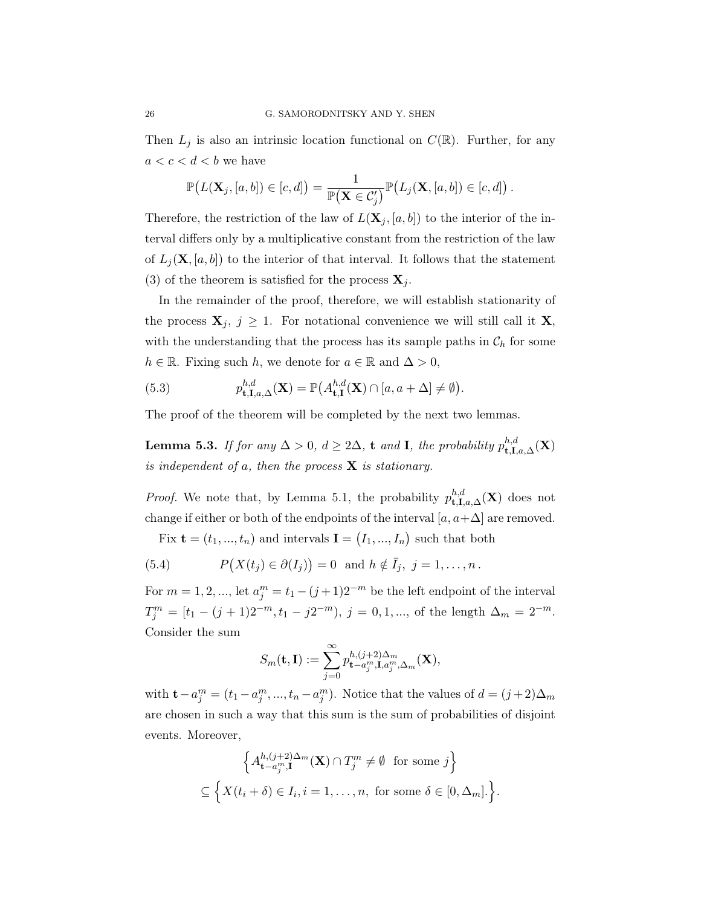Then  $L_j$  is also an intrinsic location functional on  $C(\mathbb{R})$ . Further, for any  $a < c < d < b$  we have

$$
\mathbb{P}\big(L(\mathbf{X}_j,[a,b])\in [c,d]\big)=\frac{1}{\mathbb{P}(\mathbf{X}\in \mathcal{C}'_j)}\mathbb{P}\big(L_j(\mathbf{X},[a,b])\in [c,d]\big)\,.
$$

Therefore, the restriction of the law of  $L(\mathbf{X}_j, [a, b])$  to the interior of the interval differs only by a multiplicative constant from the restriction of the law of  $L_i(\mathbf{X}, [a, b])$  to the interior of that interval. It follows that the statement (3) of the theorem is satisfied for the process  $\mathbf{X}_i$ .

In the remainder of the proof, therefore, we will establish stationarity of the process  $X_j$ ,  $j \geq 1$ . For notational convenience we will still call it X, with the understanding that the process has its sample paths in  $\mathcal{C}_h$  for some  $h \in \mathbb{R}$ . Fixing such h, we denote for  $a \in \mathbb{R}$  and  $\Delta > 0$ ,

(5.3) 
$$
p_{\mathbf{t},\mathbf{I},a,\Delta}^{h,d}(\mathbf{X}) = \mathbb{P}\big(A_{\mathbf{t},\mathbf{I}}^{h,d}(\mathbf{X}) \cap [a,a+\Delta] \neq \emptyset\big).
$$

The proof of the theorem will be completed by the next two lemmas.

Lemma 5.3. If for any  $\Delta > 0$ ,  $d \geq 2\Delta$ , t and I, the probability  $p_{\textbf{t},\textbf{I},a,\Delta}^{h,d}(\textbf{X})$ is independent of a, then the process  $X$  is stationary.

*Proof.* We note that, by Lemma 5.1, the probability  $p_{\mathbf{t},\mathbf{I},a,\Delta}^{h,d}(\mathbf{X})$  does not change if either or both of the endpoints of the interval  $[a, a+\Delta]$  are removed.

Fix  $\mathbf{t} = (t_1, ..., t_n)$  and intervals  $\mathbf{I} = (I_1, ..., I_n)$  such that both

(5.4) 
$$
P(X(t_j) \in \partial(I_j)) = 0 \text{ and } h \notin \overline{I}_j, j = 1,\ldots,n.
$$

For  $m = 1, 2, ...,$  let  $a_j^m = t_1 - (j+1)2^{-m}$  be the left endpoint of the interval  $T_j^m = [t_1 - (j+1)2^{-m}, t_1 - j2^{-m}), j = 0, 1, ...,$  of the length  $\Delta_m = 2^{-m}$ . Consider the sum

$$
S_m(\mathbf{t},\mathbf{I}):=\sum_{j=0}^{\infty}p_{\mathbf{t}-a_j^m,\mathbf{I},a_j^m,\Delta_m}^{h,(j+2)\Delta_m}(\mathbf{X}),
$$

with  $\mathbf{t} - a_j^m = (t_1 - a_j^m, ..., t_n - a_j^m)$ . Notice that the values of  $d = (j+2)\Delta_m$ are chosen in such a way that this sum is the sum of probabilities of disjoint events. Moreover,

$$
\left\{ A_{\mathbf{t}-a_j^m,\mathbf{I}}^{h,(j+2)\Delta_m}(\mathbf{X}) \cap T_j^m \neq \emptyset \text{ for some } j \right\}
$$
  

$$
\subseteq \left\{ X(t_i + \delta) \in I_i, i = 1, \dots, n, \text{ for some } \delta \in [0, \Delta_m] \right\}.
$$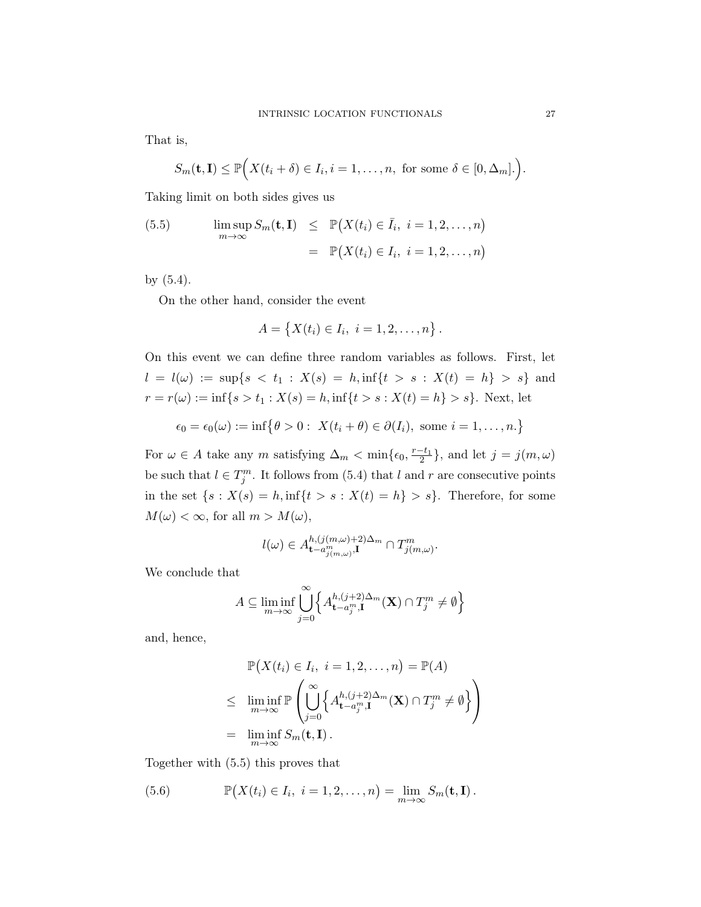That is,

$$
S_m(\mathbf{t},\mathbf{I}) \leq \mathbb{P}\Big(X(t_i+\delta) \in I_i, i=1,\ldots,n, \text{ for some } \delta \in [0,\Delta_m].\Big).
$$

Taking limit on both sides gives us

(5.5) 
$$
\limsup_{m \to \infty} S_m(\mathbf{t}, \mathbf{I}) \leq \mathbb{P}(X(t_i) \in \overline{I}_i, i = 1, 2, ..., n)
$$

$$
= \mathbb{P}(X(t_i) \in I_i, i = 1, 2, ..., n)
$$

by (5.4).

On the other hand, consider the event

$$
A = \{X(t_i) \in I_i, i = 1, 2, \ldots, n\}.
$$

On this event we can define three random variables as follows. First, let  $l = l(\omega) := \sup\{s < t_1 : X(s) = h, \inf\{t > s : X(t) = h\} > s\}$  and  $r = r(\omega) := \inf\{s > t_1 : X(s) = h, \inf\{t > s : X(t) = h\} > s\}.$  Next, let

$$
\epsilon_0 = \epsilon_0(\omega) := \inf \{ \theta > 0 : X(t_i + \theta) \in \partial(I_i), \text{ some } i = 1, \dots, n. \}
$$

For  $\omega \in A$  take any m satisfying  $\Delta_m < \min\{\epsilon_0, \frac{r-t_1}{2}\}\$ , and let  $j = j(m, \omega)$ be such that  $l \in T_j^m$ . It follows from (5.4) that l and r are consecutive points in the set  $\{s : X(s) = h, \inf\{t > s : X(t) = h\} > s\}$ . Therefore, for some  $M(\omega) < \infty$ , for all  $m > M(\omega)$ ,

$$
l(\omega) \in A^{h,(j(m,\omega)+2)\Delta_m}_{\mathbf{t}-a^m_{j(m,\omega)},\mathbf{I}} \cap T^m_{j(m,\omega)}.
$$

We conclude that

$$
A\subseteq \liminf_{m\to\infty}\bigcup_{j=0}^\infty \Bigl\{A_{\mathbf{t}-a_j^m,\mathbf{I}}^{h,(j+2)\Delta_m}(\mathbf{X})\cap T_j^m\neq \emptyset\Bigr\}
$$

and, hence,

$$
\mathbb{P}(X(t_i) \in I_i, i = 1, 2, ..., n) = \mathbb{P}(A)
$$
\n
$$
\leq \liminf_{m \to \infty} \mathbb{P}\left(\bigcup_{j=0}^{\infty} \left\{ A_{\mathbf{t}-a_j^m, \mathbf{I}}^{h,(j+2)\Delta_m}(\mathbf{X}) \cap T_j^m \neq \emptyset \right\} \right)
$$
\n
$$
= \liminf_{m \to \infty} S_m(\mathbf{t}, \mathbf{I}).
$$

Together with (5.5) this proves that

(5.6) 
$$
\mathbb{P}(X(t_i) \in I_i, i = 1, 2, \dots, n) = \lim_{m \to \infty} S_m(\mathbf{t}, \mathbf{I}).
$$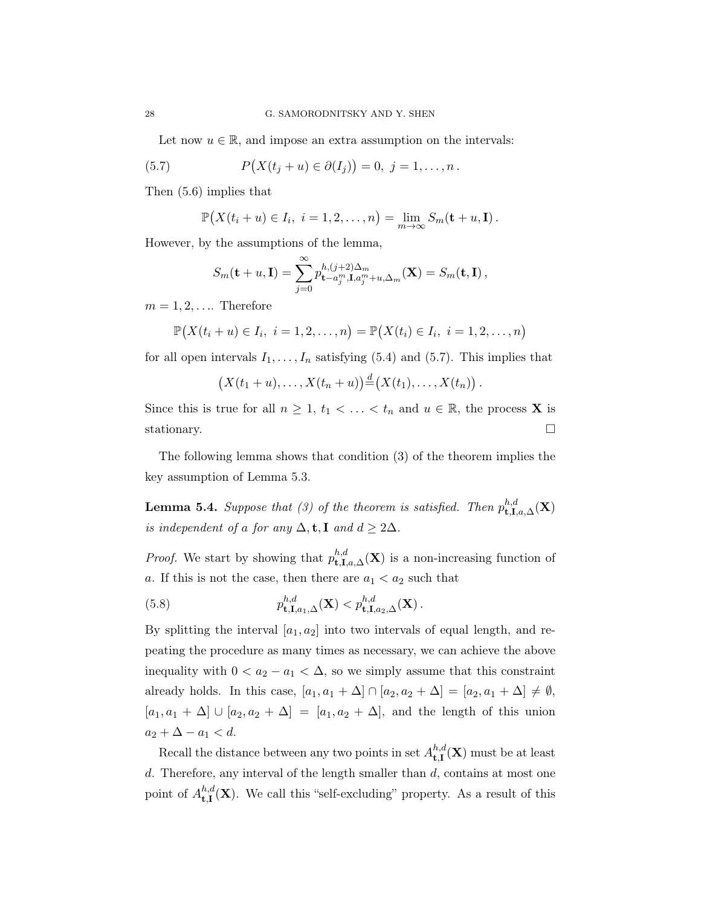Let now  $u \in \mathbb{R}$ , and impose an extra assumption on the intervals:

(5.7) 
$$
P(X(t_j + u) \in \partial(I_j)) = 0, \ j = 1, ..., n.
$$

Then (5.6) implies that

$$
\mathbb{P}\big(X(t_i+u)\in I_i,\ i=1,2,\ldots,n\big)=\lim_{m\to\infty}S_m(\mathbf{t}+u,\mathbf{I}).
$$

However, by the assumptions of the lemma,

$$
S_m(\mathbf{t}+u,\mathbf{I})=\sum_{j=0}^{\infty}p_{\mathbf{t}-a_j^m,\mathbf{I},a_j^m+u,\Delta_m}^{h,(j+2)\Delta_m}(\mathbf{X})=S_m(\mathbf{t},\mathbf{I}),
$$

 $m = 1, 2, \ldots$  Therefore

$$
\mathbb{P}(X(t_i + u) \in I_i, i = 1, 2, ..., n) = \mathbb{P}(X(t_i) \in I_i, i = 1, 2, ..., n)
$$

for all open intervals  $I_1, \ldots, I_n$  satisfying (5.4) and (5.7). This implies that

$$
(X(t_1 + u),..., X(t_n + u)) \stackrel{d}{=} (X(t_1),..., X(t_n)).
$$

Since this is true for all  $n \geq 1$ ,  $t_1 < \ldots < t_n$  and  $u \in \mathbb{R}$ , the process **X** is stationary.

The following lemma shows that condition (3) of the theorem implies the key assumption of Lemma 5.3.

**Lemma 5.4.** Suppose that (3) of the theorem is satisfied. Then  $p_{\mathbf{t},\mathbf{I},a,\Delta}^{h,d}(\mathbf{X})$ is independent of a for any  $\Delta$ , **t**, **I** and  $d \geq 2\Delta$ .

*Proof.* We start by showing that  $p_{\text{t},I,a,\Delta}^{h,d}(\mathbf{X})$  is a non-increasing function of a. If this is not the case, then there are  $a_1 < a_2$  such that

(5.8) 
$$
p_{t,\mathbf{I},a_1,\Delta}^{h,d}(\mathbf{X}) < p_{t,\mathbf{I},a_2,\Delta}^{h,d}(\mathbf{X})
$$
.

By splitting the interval  $[a_1, a_2]$  into two intervals of equal length, and repeating the procedure as many times as necessary, we can achieve the above inequality with  $0 < a_2 - a_1 < \Delta$ , so we simply assume that this constraint already holds. In this case,  $[a_1, a_1 + \Delta] \cap [a_2, a_2 + \Delta] = [a_2, a_1 + \Delta] \neq \emptyset$ ,  $[a_1, a_1 + \Delta] \cup [a_2, a_2 + \Delta] = [a_1, a_2 + \Delta]$ , and the length of this union  $a_2 + \Delta - a_1 < d.$ 

Recall the distance between any two points in set  $A^{h,d}_{\uparrow,\mathbf{I}}$  $_{\mathbf{t},\mathbf{I}}^{n,a}(\mathbf{X})$  must be at least  $d$ . Therefore, any interval of the length smaller than  $d$ , contains at most one point of  $A^{h,d}_{\text{t I}}$  ${}^{n,a}_{t,I}(\mathbf{X})$ . We call this "self-excluding" property. As a result of this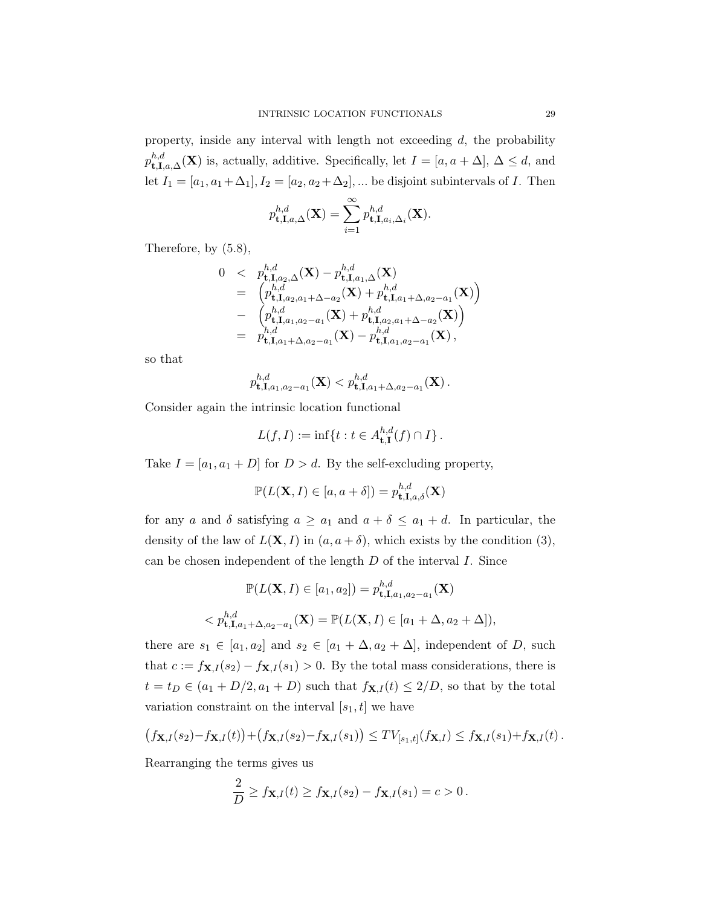property, inside any interval with length not exceeding  $d$ , the probability  $p^{h,d}_{\mathbf{t},\mathbf{I},a,\Delta}(\mathbf{X})$  is, actually, additive. Specifically, let  $I = [a, a + \Delta], \Delta \leq d$ , and let  $I_1 = [a_1, a_1 + \Delta_1], I_2 = [a_2, a_2 + \Delta_2], \dots$  be disjoint subintervals of I. Then

$$
p_{\mathbf{t},\mathbf{I},a,\Delta}^{h,d}(\mathbf{X}) = \sum_{i=1}^{\infty} p_{\mathbf{t},\mathbf{I},a_i,\Delta_i}^{h,d}(\mathbf{X}).
$$

Therefore, by (5.8),

$$
0 < p_{\mathbf{t},\mathbf{I},a_2,\Delta}^{h,d}(\mathbf{X}) - p_{\mathbf{t},\mathbf{I},a_1,\Delta}^{h,d}(\mathbf{X}) \n= \begin{pmatrix} p_{\mathbf{t},\mathbf{I},a_2,a_1+\Delta-a_2}^{h,d}(\mathbf{X}) + p_{\mathbf{t},\mathbf{I},a_1+\Delta,a_2-a_1}^{h,d}(\mathbf{X}) \end{pmatrix} \n- \begin{pmatrix} p_{\mathbf{t},\mathbf{I},a_1,a_2-a_1}^{h,d}(\mathbf{X}) + p_{\mathbf{t},\mathbf{I},a_2,a_1+\Delta-a_2}^{h,d}(\mathbf{X}) \end{pmatrix} \n= p_{\mathbf{t},\mathbf{I},a_1+\Delta,a_2-a_1}^{h,d}(\mathbf{X}) - p_{\mathbf{t},\mathbf{I},a_1,a_2-a_1}^{h,d}(\mathbf{X}),
$$

so that

$$
p_{{\bf t},{\bf I},a_1,a_2-a_1}^{h,d}({\bf X}) < p_{{\bf t},{\bf I},a_1+\Delta,a_2-a_1}^{h,d}({\bf X})\,.
$$

Consider again the intrinsic location functional

$$
L(f,I) := \inf\{t : t \in A_{\mathbf{t},\mathbf{I}}^{h,d}(f) \cap I\}.
$$

Take  $I = [a_1, a_1 + D]$  for  $D > d$ . By the self-excluding property,

$$
\mathbb{P}(L(\mathbf{X},I)\in[a,a+\delta])=p_{\mathbf{t},\mathbf{I},a,\delta}^{h,d}(\mathbf{X})
$$

for any a and  $\delta$  satisfying  $a \ge a_1$  and  $a + \delta \le a_1 + d$ . In particular, the density of the law of  $L(\mathbf{X}, I)$  in  $(a, a + \delta)$ , which exists by the condition (3), can be chosen independent of the length  $D$  of the interval  $I$ . Since

$$
\mathbb{P}(L(\mathbf{X}, I) \in [a_1, a_2]) = p_{\mathbf{t}, \mathbf{I}, a_1, a_2 - a_1}^{h, d}(\mathbf{X})
$$
  

$$
\langle p_{\mathbf{t}, \mathbf{I}, a_1 + \Delta, a_2 - a_1}^{h, d}(\mathbf{X}) = \mathbb{P}(L(\mathbf{X}, I) \in [a_1 + \Delta, a_2 + \Delta]),
$$

there are  $s_1 \in [a_1, a_2]$  and  $s_2 \in [a_1 + \Delta, a_2 + \Delta]$ , independent of D, such that  $c := f_{\mathbf{X},I}(s_2) - f_{\mathbf{X},I}(s_1) > 0$ . By the total mass considerations, there is  $t = t_D \in (a_1 + D/2, a_1 + D)$  such that  $f_{\mathbf{X},I}(t) \leq 2/D$ , so that by the total variation constraint on the interval  $[s_1, t]$  we have

$$
(f_{\mathbf{X},I}(s_2)-f_{\mathbf{X},I}(t))+(f_{\mathbf{X},I}(s_2)-f_{\mathbf{X},I}(s_1))\leq TV_{[s_1,t]}(f_{\mathbf{X},I})\leq f_{\mathbf{X},I}(s_1)+f_{\mathbf{X},I}(t).
$$

Rearranging the terms gives us

$$
\frac{2}{D} \ge f_{\mathbf{X},I}(t) \ge f_{\mathbf{X},I}(s_2) - f_{\mathbf{X},I}(s_1) = c > 0.
$$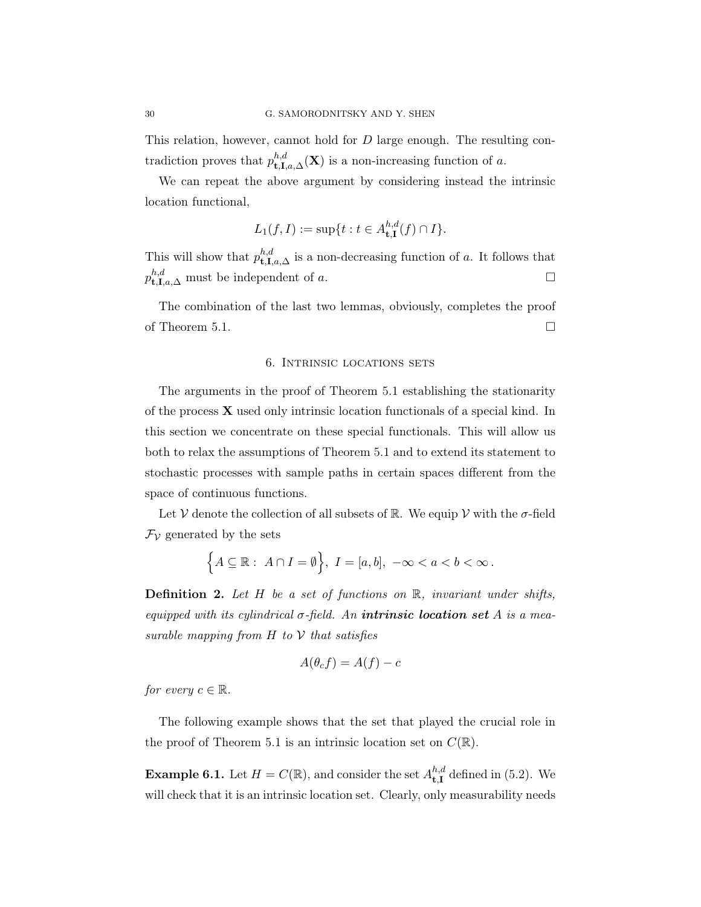This relation, however, cannot hold for D large enough. The resulting contradiction proves that  $p_{\mathbf{t},\mathbf{I},a,\Delta}^{h,d}(\mathbf{X})$  is a non-increasing function of a.

We can repeat the above argument by considering instead the intrinsic location functional,

$$
L_1(f, I) := \sup\{t : t \in A_{\mathbf{t}, \mathbf{I}}^{h, d}(f) \cap I\}.
$$

This will show that  $p_{t,\mathbf{I},a,\Delta}^{h,d}$  is a non-decreasing function of a. It follows that  $p_{\mathbf{t},\mathbf{I},a,\Delta}^{h,d}$  must be independent of a.

The combination of the last two lemmas, obviously, completes the proof of Theorem 5.1.  $\Box$ 

#### 6. Intrinsic locations sets

The arguments in the proof of Theorem 5.1 establishing the stationarity of the process  $\bf{X}$  used only intrinsic location functionals of a special kind. In this section we concentrate on these special functionals. This will allow us both to relax the assumptions of Theorem 5.1 and to extend its statement to stochastic processes with sample paths in certain spaces different from the space of continuous functions.

Let V denote the collection of all subsets of R. We equip V with the  $\sigma$ -field  $\mathcal{F}_{\mathcal{V}}$  generated by the sets

$$
\Big\{A\subseteq\mathbb{R}:\ A\cap I=\emptyset\Big\},\ I=[a,b],\ -\infty
$$

**Definition 2.** Let  $H$  be a set of functions on  $\mathbb{R}$ , invariant under shifts, equipped with its cylindrical  $\sigma$ -field. An **intrinsic location set** A is a measurable mapping from  $H$  to  $V$  that satisfies

$$
A(\theta_c f) = A(f) - c
$$

for every  $c \in \mathbb{R}$ .

The following example shows that the set that played the crucial role in the proof of Theorem 5.1 is an intrinsic location set on  $C(\mathbb{R})$ .

**Example 6.1.** Let  $H = C(\mathbb{R})$ , and consider the set  $A^{h,d}_{\text{L}I}$  $_{\mathbf{t},\mathbf{I}}^{n,a}$  defined in (5.2). We will check that it is an intrinsic location set. Clearly, only measurability needs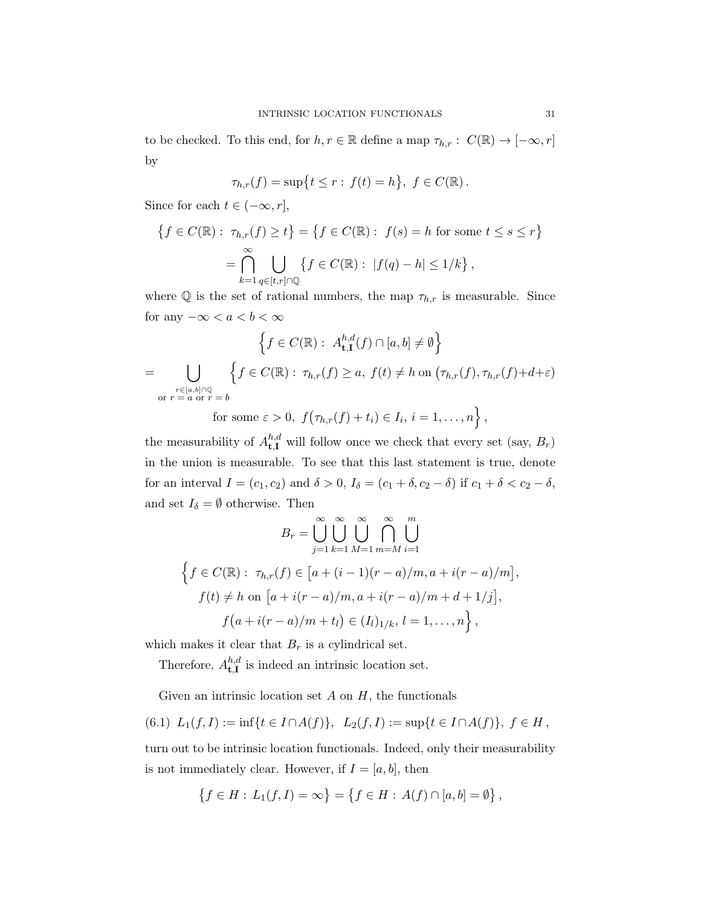to be checked. To this end, for  $h, r \in \mathbb{R}$  define a map  $\tau_{h,r} : C(\mathbb{R}) \to [-\infty, r]$ by

$$
\tau_{h,r}(f)=\sup\{t\leq r:\,f(t)=h\},\ f\in C(\mathbb{R}).
$$

Since for each  $t \in (-\infty, r],$ 

$$
\{f \in C(\mathbb{R}) : \tau_{h,r}(f) \ge t\} = \{f \in C(\mathbb{R}) : f(s) = h \text{ for some } t \le s \le r\}
$$

$$
= \bigcap_{k=1}^{\infty} \bigcup_{q \in [t,r] \cap \mathbb{Q}} \{f \in C(\mathbb{R}) : |f(q) - h| \le 1/k\},
$$

where  $\mathbb Q$  is the set of rational numbers, the map  $\tau_{h,r}$  is measurable. Since for any  $-\infty < a < b < \infty$ 

$$
\left\{ f \in C(\mathbb{R}) : A_{\mathbf{t},\mathbf{I}}^{h,d}(f) \cap [a,b] \neq \emptyset \right\}
$$
\n
$$
= \bigcup_{\substack{r \in [a,b] \cap \mathbb{Q} \\ \text{or } r = a \text{ or } r = b}} \left\{ f \in C(\mathbb{R}) : \tau_{h,r}(f) \ge a, \ f(t) \ne h \text{ on } (\tau_{h,r}(f), \tau_{h,r}(f) + d + \varepsilon) \right\}
$$

for some  $\varepsilon > 0$ ,  $f(\tau_{h,r}(f) + t_i) \in I_i$ ,  $i = 1, ..., n$ ,

the measurability of  $A_{\mathbf{t},\mathbf{I}}^{h,d}$  will follow once we check that every set (say,  $B_r$ ) in the union is measurable. To see that this last statement is true, denote for an interval  $I = (c_1, c_2)$  and  $\delta > 0$ ,  $I_{\delta} = (c_1 + \delta, c_2 - \delta)$  if  $c_1 + \delta < c_2 - \delta$ , and set  $I_{\delta} = \emptyset$  otherwise. Then

$$
B_r = \bigcup_{j=1}^{\infty} \bigcup_{k=1}^{\infty} \bigcup_{M=1}^{\infty} \bigcap_{m=M}^{\infty} \bigcup_{i=1}^{m}
$$
  

$$
\Big\{ f \in C(\mathbb{R}) : \tau_{h,r}(f) \in [a + (i-1)(r-a)/m, a + i(r-a)/m],
$$
  

$$
f(t) \neq h \text{ on } [a + i(r-a)/m, a + i(r-a)/m + d + 1/j],
$$
  

$$
f(a + i(r-a)/m + t_l) \in (I_l)_{1/k}, l = 1, ..., n \Big\},
$$

which makes it clear that  $B_r$  is a cylindrical set.

Therefore,  $A^{h,d}_{\text{tI}}$  $t, I$  is indeed an intrinsic location set.

Given an intrinsic location set  $A$  on  $H$ , the functionals

$$
(6.1) \ L_1(f, I) := \inf\{t \in I \cap A(f)\}, \ L_2(f, I) := \sup\{t \in I \cap A(f)\}, \ f \in H,
$$

turn out to be intrinsic location functionals. Indeed, only their measurability is not immediately clear. However, if  $I = [a, b]$ , then

$$
\{f \in H : L_1(f, I) = \infty\} = \{f \in H : A(f) \cap [a, b] = \emptyset\},\
$$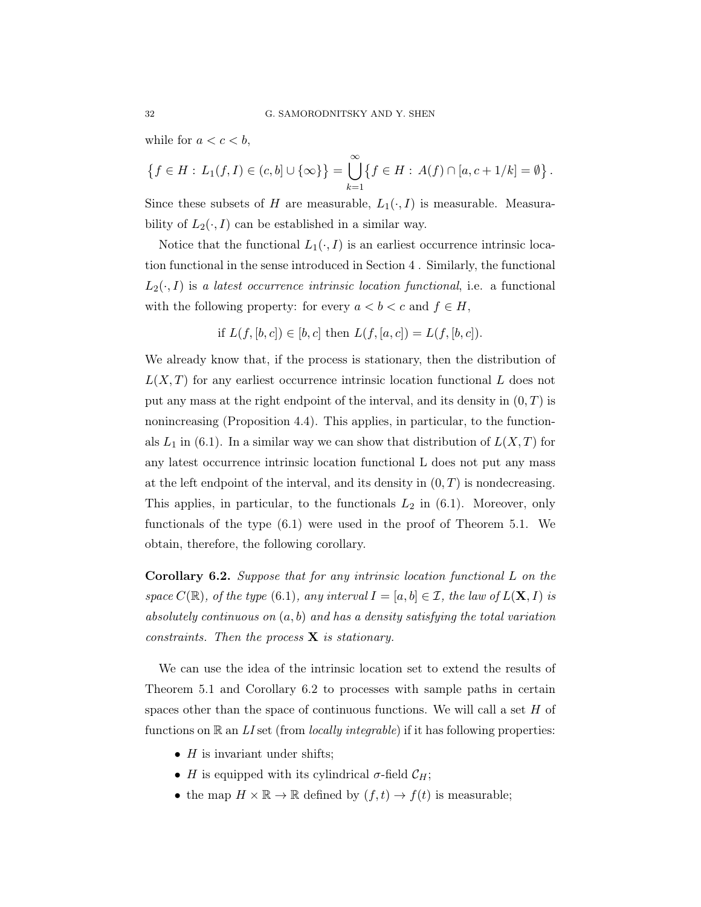while for  $a < c < b$ ,

$$
\{f \in H : L_1(f, I) \in (c, b] \cup \{\infty\}\} = \bigcup_{k=1}^{\infty} \{f \in H : A(f) \cap [a, c + 1/k] = \emptyset\}.
$$

Since these subsets of H are measurable,  $L_1(\cdot, I)$  is measurable. Measurability of  $L_2(\cdot, I)$  can be established in a similar way.

Notice that the functional  $L_1(\cdot, I)$  is an earliest occurrence intrinsic location functional in the sense introduced in Section 4 . Similarly, the functional  $L_2(\cdot, I)$  is a latest occurrence intrinsic location functional, i.e. a functional with the following property: for every  $a < b < c$  and  $f \in H$ ,

if 
$$
L(f, [b, c]) \in [b, c]
$$
 then  $L(f, [a, c]) = L(f, [b, c])$ .

We already know that, if the process is stationary, then the distribution of  $L(X,T)$  for any earliest occurrence intrinsic location functional L does not put any mass at the right endpoint of the interval, and its density in  $(0, T)$  is nonincreasing (Proposition 4.4). This applies, in particular, to the functionals  $L_1$  in (6.1). In a similar way we can show that distribution of  $L(X,T)$  for any latest occurrence intrinsic location functional L does not put any mass at the left endpoint of the interval, and its density in  $(0, T)$  is nondecreasing. This applies, in particular, to the functionals  $L_2$  in (6.1). Moreover, only functionals of the type (6.1) were used in the proof of Theorem 5.1. We obtain, therefore, the following corollary.

Corollary 6.2. Suppose that for any intrinsic location functional L on the space  $C(\mathbb{R})$ , of the type (6.1), any interval  $I = [a, b] \in \mathcal{I}$ , the law of  $L(\mathbf{X}, I)$  is absolutely continuous on  $(a, b)$  and has a density satisfying the total variation constraints. Then the process  $X$  is stationary.

We can use the idea of the intrinsic location set to extend the results of Theorem 5.1 and Corollary 6.2 to processes with sample paths in certain spaces other than the space of continuous functions. We will call a set  $H$  of functions on  $\mathbb R$  an LI set (from *locally integrable*) if it has following properties:

- $H$  is invariant under shifts;
- H is equipped with its cylindrical  $\sigma$ -field  $\mathcal{C}_H$ ;
- the map  $H \times \mathbb{R} \to \mathbb{R}$  defined by  $(f, t) \to f(t)$  is measurable;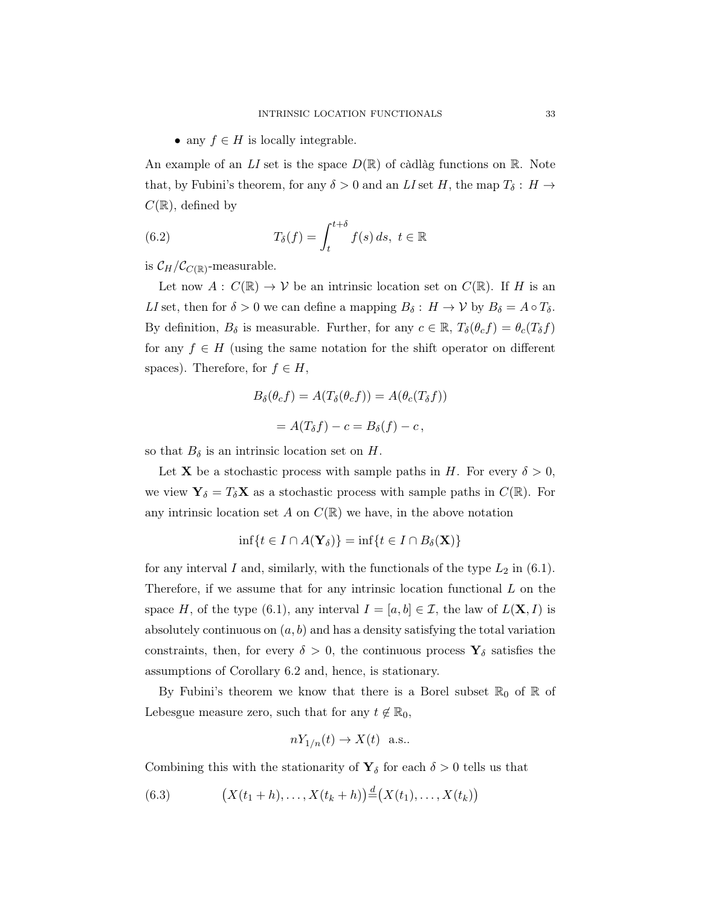• any  $f \in H$  is locally integrable.

An example of an LI set is the space  $D(\mathbb{R})$  of càdlàg functions on  $\mathbb{R}$ . Note that, by Fubini's theorem, for any  $\delta > 0$  and an LI set H, the map  $T_{\delta}: H \to$  $C(\mathbb{R})$ , defined by

(6.2) 
$$
T_{\delta}(f) = \int_{t}^{t+\delta} f(s) \, ds, \ t \in \mathbb{R}
$$

is  $\mathcal{C}_H/\mathcal{C}_{C(\mathbb{R})}$ -measurable.

Let now  $A: C(\mathbb{R}) \to V$  be an intrinsic location set on  $C(\mathbb{R})$ . If H is an LI set, then for  $\delta > 0$  we can define a mapping  $B_{\delta}: H \to V$  by  $B_{\delta} = A \circ T_{\delta}$ . By definition,  $B_{\delta}$  is measurable. Further, for any  $c \in \mathbb{R}$ ,  $T_{\delta}(\theta_c f) = \theta_c(T_{\delta} f)$ for any  $f \in H$  (using the same notation for the shift operator on different spaces). Therefore, for  $f \in H$ ,

$$
B_{\delta}(\theta_{c}f) = A(T_{\delta}(\theta_{c}f)) = A(\theta_{c}(T_{\delta}f))
$$

$$
= A(T_{\delta}f) - c = B_{\delta}(f) - c,
$$

so that  $B_{\delta}$  is an intrinsic location set on H.

Let **X** be a stochastic process with sample paths in H. For every  $\delta > 0$ , we view  $\mathbf{Y}_{\delta} = T_{\delta} \mathbf{X}$  as a stochastic process with sample paths in  $C(\mathbb{R})$ . For any intrinsic location set A on  $C(\mathbb{R})$  we have, in the above notation

$$
\inf\{t \in I \cap A(\mathbf{Y}_{\delta})\} = \inf\{t \in I \cap B_{\delta}(\mathbf{X})\}
$$

for any interval I and, similarly, with the functionals of the type  $L_2$  in (6.1). Therefore, if we assume that for any intrinsic location functional  $L$  on the space H, of the type (6.1), any interval  $I = [a, b] \in \mathcal{I}$ , the law of  $L(\mathbf{X}, I)$  is absolutely continuous on  $(a, b)$  and has a density satisfying the total variation constraints, then, for every  $\delta > 0$ , the continuous process  $\mathbf{Y}_{\delta}$  satisfies the assumptions of Corollary 6.2 and, hence, is stationary.

By Fubini's theorem we know that there is a Borel subset  $\mathbb{R}_0$  of  $\mathbb R$  of Lebesgue measure zero, such that for any  $t \notin \mathbb{R}_0$ ,

$$
nY_{1/n}(t) \to X(t) \text{ a.s.}.
$$

Combining this with the stationarity of  $\mathbf{Y}_{\delta}$  for each  $\delta > 0$  tells us that

(6.3) 
$$
(X(t_1 + h), \dots, X(t_k + h)) \stackrel{d}{=} (X(t_1), \dots, X(t_k))
$$